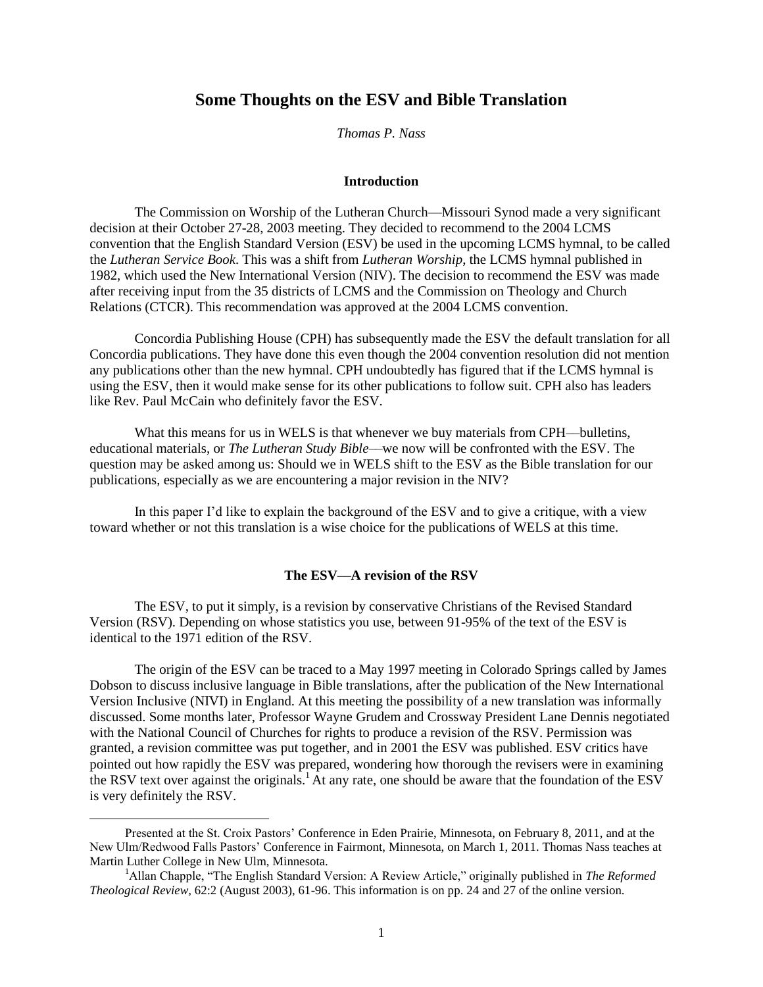## **Some Thoughts on the ESV and Bible Translation**

*Thomas P. Nass*

#### **Introduction**

The Commission on Worship of the Lutheran Church—Missouri Synod made a very significant decision at their October 27-28, 2003 meeting. They decided to recommend to the 2004 LCMS convention that the English Standard Version (ESV) be used in the upcoming LCMS hymnal, to be called the *Lutheran Service Book*. This was a shift from *Lutheran Worship*, the LCMS hymnal published in 1982, which used the New International Version (NIV). The decision to recommend the ESV was made after receiving input from the 35 districts of LCMS and the Commission on Theology and Church Relations (CTCR). This recommendation was approved at the 2004 LCMS convention.

Concordia Publishing House (CPH) has subsequently made the ESV the default translation for all Concordia publications. They have done this even though the 2004 convention resolution did not mention any publications other than the new hymnal. CPH undoubtedly has figured that if the LCMS hymnal is using the ESV, then it would make sense for its other publications to follow suit. CPH also has leaders like Rev. Paul McCain who definitely favor the ESV.

What this means for us in WELS is that whenever we buy materials from CPH––bulletins, educational materials, or *The Lutheran Study Bible*––we now will be confronted with the ESV. The question may be asked among us: Should we in WELS shift to the ESV as the Bible translation for our publications, especially as we are encountering a major revision in the NIV?

In this paper I'd like to explain the background of the ESV and to give a critique, with a view toward whether or not this translation is a wise choice for the publications of WELS at this time.

### **The ESV––A revision of the RSV**

The ESV, to put it simply, is a revision by conservative Christians of the Revised Standard Version (RSV). Depending on whose statistics you use, between 91-95% of the text of the ESV is identical to the 1971 edition of the RSV.

The origin of the ESV can be traced to a May 1997 meeting in Colorado Springs called by James Dobson to discuss inclusive language in Bible translations, after the publication of the New International Version Inclusive (NIVI) in England. At this meeting the possibility of a new translation was informally discussed. Some months later, Professor Wayne Grudem and Crossway President Lane Dennis negotiated with the National Council of Churches for rights to produce a revision of the RSV. Permission was granted, a revision committee was put together, and in 2001 the ESV was published. ESV critics have pointed out how rapidly the ESV was prepared, wondering how thorough the revisers were in examining the RSV text over against the originals.<sup>1</sup> At any rate, one should be aware that the foundation of the ESV is very definitely the RSV.

 $\overline{a}$ 

Presented at the St. Croix Pastors' Conference in Eden Prairie, Minnesota, on February 8, 2011, and at the New Ulm/Redwood Falls Pastors' Conference in Fairmont, Minnesota, on March 1, 2011. Thomas Nass teaches at Martin Luther College in New Ulm, Minnesota.

<sup>&</sup>lt;sup>1</sup>Allan Chapple, "The English Standard Version: A Review Article," originally published in *The Reformed Theological Review,* 62:2 (August 2003), 61-96. This information is on pp. 24 and 27 of the online version.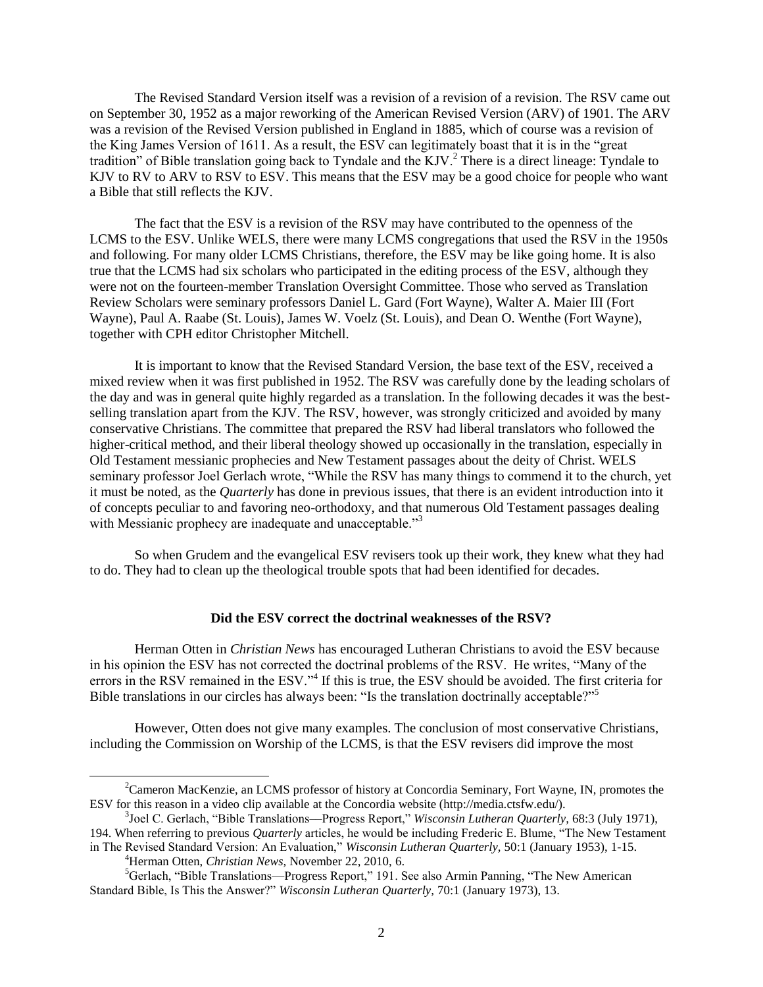The Revised Standard Version itself was a revision of a revision of a revision. The RSV came out on September 30, 1952 as a major reworking of the American Revised Version (ARV) of 1901. The ARV was a revision of the Revised Version published in England in 1885, which of course was a revision of the King James Version of 1611. As a result, the ESV can legitimately boast that it is in the "great" tradition" of Bible translation going back to Tyndale and the KJV. $^{2}$  There is a direct lineage: Tyndale to KJV to RV to ARV to RSV to ESV. This means that the ESV may be a good choice for people who want a Bible that still reflects the KJV.

The fact that the ESV is a revision of the RSV may have contributed to the openness of the LCMS to the ESV. Unlike WELS, there were many LCMS congregations that used the RSV in the 1950s and following. For many older LCMS Christians, therefore, the ESV may be like going home. It is also true that the LCMS had six scholars who participated in the editing process of the ESV, although they were not on the fourteen-member Translation Oversight Committee. Those who served as Translation Review Scholars were seminary professors Daniel L. Gard (Fort Wayne), Walter A. Maier III (Fort Wayne), Paul A. Raabe (St. Louis), James W. Voelz (St. Louis), and Dean O. Wenthe (Fort Wayne), together with CPH editor Christopher Mitchell.

It is important to know that the Revised Standard Version, the base text of the ESV, received a mixed review when it was first published in 1952. The RSV was carefully done by the leading scholars of the day and was in general quite highly regarded as a translation. In the following decades it was the bestselling translation apart from the KJV. The RSV, however, was strongly criticized and avoided by many conservative Christians. The committee that prepared the RSV had liberal translators who followed the higher-critical method, and their liberal theology showed up occasionally in the translation, especially in Old Testament messianic prophecies and New Testament passages about the deity of Christ. WELS seminary professor Joel Gerlach wrote, "While the RSV has many things to commend it to the church, yet it must be noted, as the *Quarterly* has done in previous issues, that there is an evident introduction into it of concepts peculiar to and favoring neo-orthodoxy, and that numerous Old Testament passages dealing with Messianic prophecy are inadequate and unacceptable.<sup>33</sup>

So when Grudem and the evangelical ESV revisers took up their work, they knew what they had to do. They had to clean up the theological trouble spots that had been identified for decades.

#### **Did the ESV correct the doctrinal weaknesses of the RSV?**

Herman Otten in *Christian News* has encouraged Lutheran Christians to avoid the ESV because in his opinion the ESV has not corrected the doctrinal problems of the RSV. He writes, "Many of the errors in the RSV remained in the ESV."<sup>4</sup> If this is true, the ESV should be avoided. The first criteria for Bible translations in our circles has always been: "Is the translation doctrinally acceptable?"<sup>5</sup>

However, Otten does not give many examples. The conclusion of most conservative Christians, including the Commission on Worship of the LCMS, is that the ESV revisers did improve the most

 $\overline{a}$ 

<sup>&</sup>lt;sup>2</sup>Cameron MacKenzie, an LCMS professor of history at Concordia Seminary, Fort Wayne, IN, promotes the ESV for this reason in a video clip available at the Concordia website (http://media.ctsfw.edu/).

<sup>&</sup>lt;sup>3</sup>Joel C. Gerlach, "Bible Translations—Progress Report," *Wisconsin Lutheran Quarterly,* 68:3 (July 1971), 194. When referring to previous *Quarterly* articles, he would be including Frederic E. Blume, "The New Testament"

in The Revised Standard Version: An Evaluation," *Wisconsin Lutheran Quarterly,* 50:1 (January 1953), 1-15. <sup>4</sup>Herman Otten, *Christian News,* November 22, 2010, 6.

<sup>5</sup>Gerlach, "Bible Translations—Progress Report," 191. See also Armin Panning, "The New American Standard Bible, Is This the Answer?" *Wisconsin Lutheran Quarterly, 70:1 (January 1973), 13.*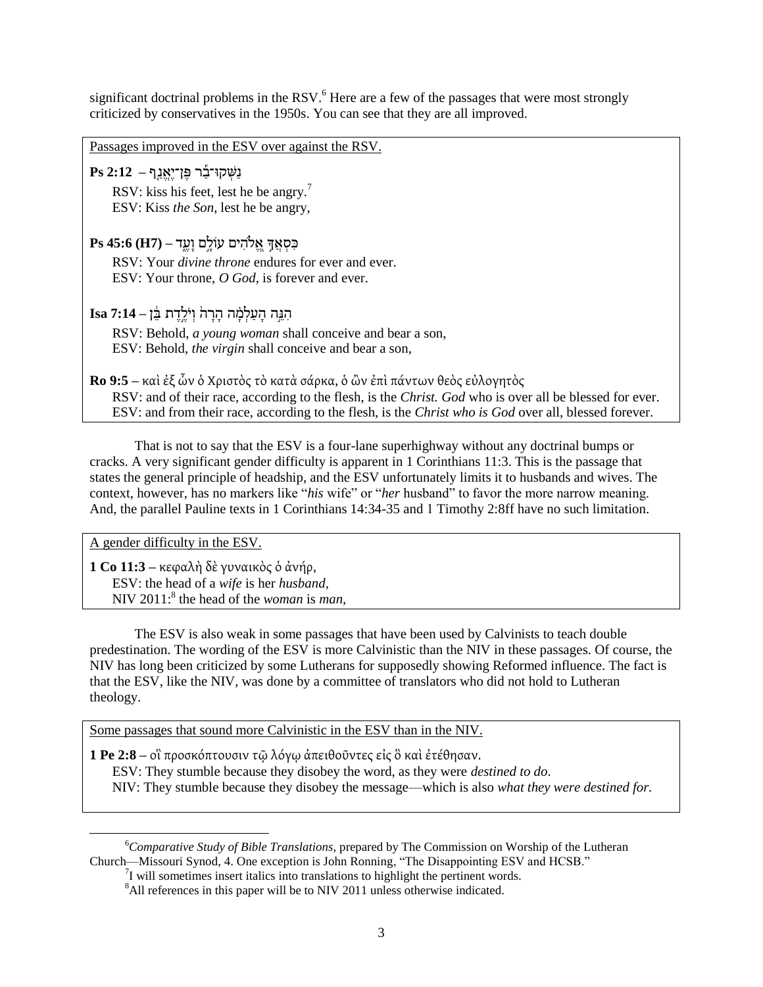significant doctrinal problems in the RSV. $<sup>6</sup>$  Here are a few of the passages that were most strongly</sup> criticized by conservatives in the 1950s. You can see that they are all improved.

Passages improved in the ESV over against the RSV. נַשְּׁ רּו־בַַ֡ ש פֶּ ן־יֶּא נַ ַ֤פ **– 2:12 Ps** RSV: kiss his feet, lest he be angry.<sup>7</sup> ESV: Kiss *the Son*, lest he be angry, כִּ סְּׁ אֲ ךָ֣ א ֱ֭ ֹלהִּ ים עֹולָ ָ֣ם וָ ףֶּ ֶ֑ד **– (7H (45:6 Ps** RSV: Your *divine throne* endures for ever and ever. ESV: Your throne, *O God*, is forever and ever. הִּ נ ָ֣ ה הָ ףַ לְּׁ מָָ֗ ה הָ שָ ה֙ וְּׁ יֹלֶּ ָ֣דֶּ ת ב ֵּ֔ ן **– 7:14 Isa** RSV: Behold, *a young woman* shall conceive and bear a son, ESV: Behold, *the virgin* shall conceive and bear a son, **Ro 9:5** – καὶ ἐξ ὧν ὁ Χριστὸς τὸ κατὰ σάρκα, ὁ ὢν ἐπὶ πάντων θεὸς εὐλογητὸς RSV: and of their race, according to the flesh, is the *Christ. God* who is over all be blessed for ever. ESV: and from their race, according to the flesh, is the *Christ who is God* over all, blessed forever.

That is not to say that the ESV is a four-lane superhighway without any doctrinal bumps or cracks. A very significant gender difficulty is apparent in 1 Corinthians 11:3. This is the passage that states the general principle of headship, and the ESV unfortunately limits it to husbands and wives. The context, however, has no markers like "his wife" or "her husband" to favor the more narrow meaning. And, the parallel Pauline texts in 1 Corinthians 14:34-35 and 1 Timothy 2:8ff have no such limitation.

A gender difficulty in the ESV.

**1 Co 11:3** – κεφαλή δε γυναικὸς ὁ ἀνήρ, ESV: the head of a *wife* is her *husband,* NIV 2011:<sup>8</sup> the head of the *woman* is *man*,

The ESV is also weak in some passages that have been used by Calvinists to teach double predestination. The wording of the ESV is more Calvinistic than the NIV in these passages. Of course, the NIV has long been criticized by some Lutherans for supposedly showing Reformed influence. The fact is that the ESV, like the NIV, was done by a committee of translators who did not hold to Lutheran theology.

Some passages that sound more Calvinistic in the ESV than in the NIV.

**1 Pe 2:8** – οἳ προσκόπτουσιν τῷ λόγῳ ἀπειθοῦντες εἰς ὃ καὶ ἐτέθησαν. ESV: They stumble because they disobey the word, as they were *destined to do*. NIV: They stumble because they disobey the message––which is also *what they were destined for.*

 $\overline{\phantom{a}}$ <sup>6</sup>*Comparative Study of Bible Translations*, prepared by The Commission on Worship of the Lutheran Church—Missouri Synod, 4. One exception is John Ronning, "The Disappointing ESV and HCSB."

<sup>&</sup>lt;sup>7</sup>I will sometimes insert italics into translations to highlight the pertinent words.

<sup>&</sup>lt;sup>8</sup>All references in this paper will be to NIV 2011 unless otherwise indicated.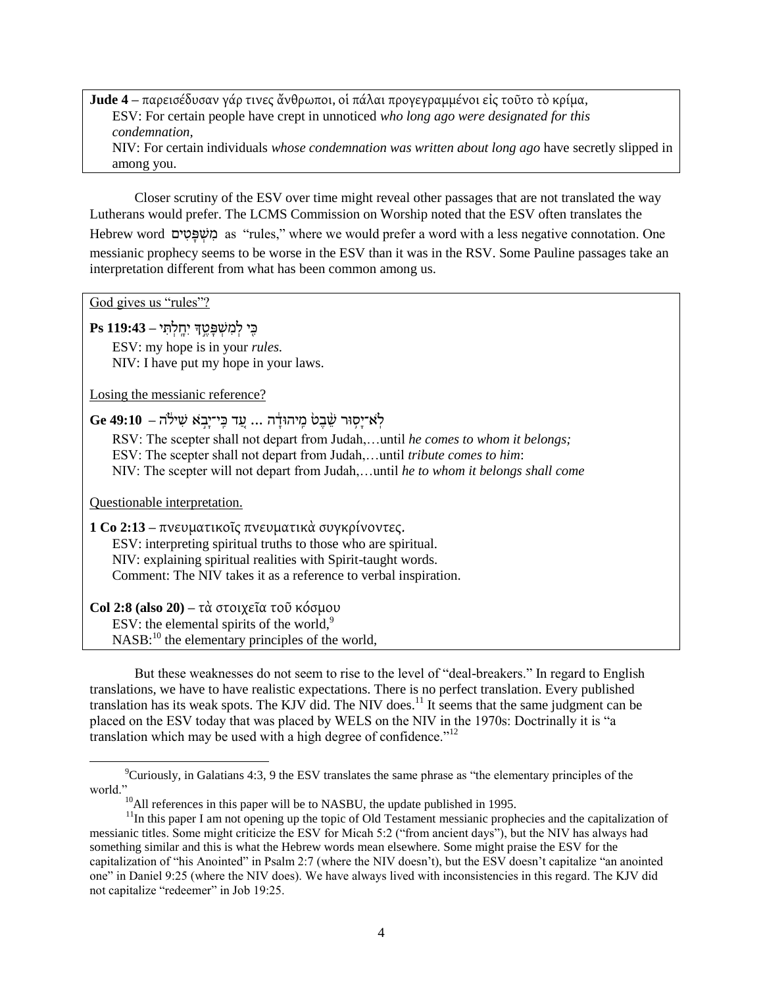**Jude 4** – παρεισέδυσαν γάρ τινες ἄνθρωποι, οἱ πάλαι προγεγραμμένοι εἰς τοῦτο τὸ κρίμα, ESV: For certain people have crept in unnoticed *who long ago were designated for this condemnation,* NIV: For certain individuals *whose condemnation was written about long ago* have secretly slipped in among you.

Closer scrutiny of the ESV over time might reveal other passages that are not translated the way Lutherans would prefer. The LCMS Commission on Worship noted that the ESV often translates the Hebrew word משפטים as "rules," where we would prefer a word with a less negative connotation. One messianic prophecy seems to be worse in the ESV than it was in the RSV. Some Pauline passages take an interpretation different from what has been common among us.

God gives us "rules"?

כִּ ִּ֖ י לְּׁ מִּ שְּׁ פָ טֶּ ָ֣ך יִּחָ ָֽ לְּׁ תִּ י **– 119:43 Ps**

ESV: my hope is in your *rules.* NIV: I have put my hope in your laws.

Losing the messianic reference?

לָא־יַסִוּר שֵׁׁבֵטֹ מֵיהוּדָ<sup>ּ</sup>ה ... עֲד כֵּי־יָבְא שִׁילֹה – Ge 49:10

RSV: The scepter shall not depart from Judah,…until *he comes to whom it belongs;*

ESV: The scepter shall not depart from Judah,…until *tribute comes to him*:

NIV: The scepter will not depart from Judah,…until *he to whom it belongs shall come*

Questionable interpretation.

 $\overline{\phantom{a}}$ 

1 Co 2:13 – πνευματικοῖς πνευματικὰ συγκρίνοντες.

ESV: interpreting spiritual truths to those who are spiritual. NIV: explaining spiritual realities with Spirit-taught words.

Comment: The NIV takes it as a reference to verbal inspiration.

**Col 2:8 (also 20) – τὰ στοιχεῖα τοῦ κόσμου** 

ESV: the elemental spirits of the world, $9$ 

NASB:<sup>10</sup> the elementary principles of the world,

But these weaknesses do not seem to rise to the level of "deal-breakers." In regard to English translations, we have to have realistic expectations. There is no perfect translation. Every published translation has its weak spots. The KJV did. The NIV does.<sup>11</sup> It seems that the same judgment can be placed on the ESV today that was placed by WELS on the NIV in the 1970s: Doctrinally it is "a translation which may be used with a high degree of confidence.<sup> $12$ </sup>

 $^9$ Curiously, in Galatians 4:3, 9 the ESV translates the same phrase as "the elementary principles of the world."

 $10$ All references in this paper will be to NASBU, the update published in 1995.

<sup>&</sup>lt;sup>11</sup>In this paper I am not opening up the topic of Old Testament messianic prophecies and the capitalization of messianic titles. Some might criticize the ESV for Micah 5:2 ("from ancient days"), but the NIV has always had something similar and this is what the Hebrew words mean elsewhere. Some might praise the ESV for the capitalization of "his Anointed" in Psalm 2:7 (where the NIV doesn't), but the ESV doesn't capitalize "an anointed one" in Daniel 9:25 (where the NIV does). We have always lived with inconsistencies in this regard. The KJV did not capitalize "redeemer" in Job 19:25.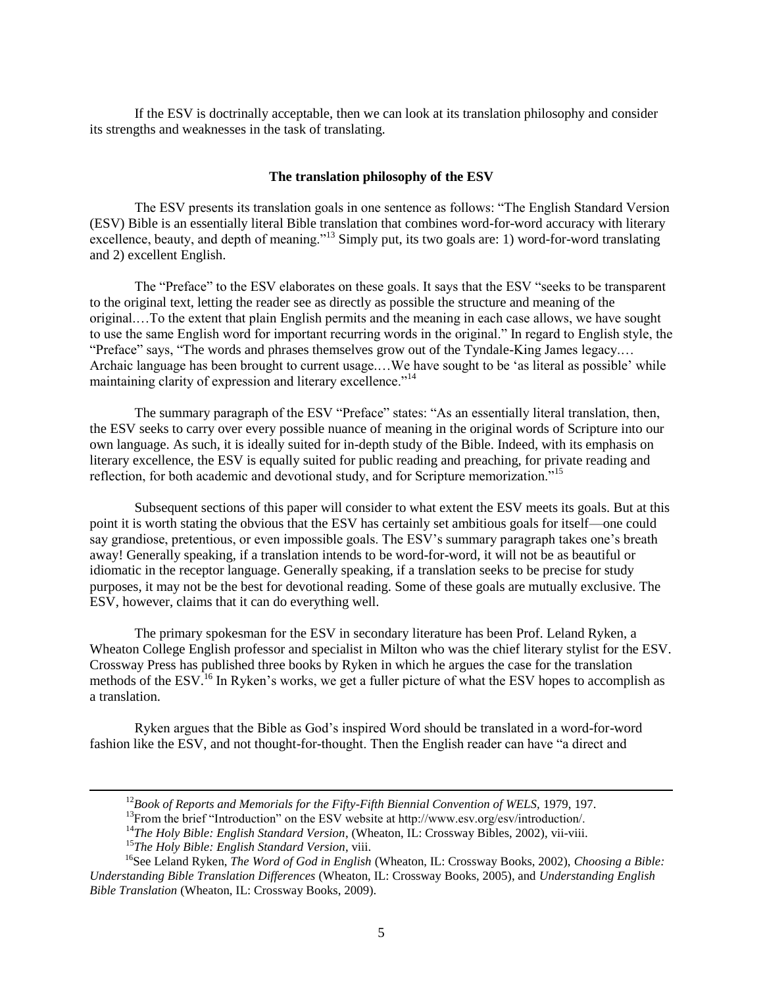If the ESV is doctrinally acceptable, then we can look at its translation philosophy and consider its strengths and weaknesses in the task of translating.

#### **The translation philosophy of the ESV**

The ESV presents its translation goals in one sentence as follows: "The English Standard Version (ESV) Bible is an essentially literal Bible translation that combines word-for-word accuracy with literary excellence, beauty, and depth of meaning."<sup>13</sup> Simply put, its two goals are: 1) word-for-word translating and 2) excellent English.

The "Preface" to the ESV elaborates on these goals. It says that the ESV "seeks to be transparent to the original text, letting the reader see as directly as possible the structure and meaning of the original.…To the extent that plain English permits and the meaning in each case allows, we have sought to use the same English word for important recurring words in the original." In regard to English style, the "Preface" says, "The words and phrases themselves grow out of the Tyndale-King James legacy.... Archaic language has been brought to current usage...We have sought to be 'as literal as possible' while maintaining clarity of expression and literary excellence."<sup>14</sup>

The summary paragraph of the ESV "Preface" states: "As an essentially literal translation, then, the ESV seeks to carry over every possible nuance of meaning in the original words of Scripture into our own language. As such, it is ideally suited for in-depth study of the Bible. Indeed, with its emphasis on literary excellence, the ESV is equally suited for public reading and preaching, for private reading and reflection, for both academic and devotional study, and for Scripture memorization."<sup>15</sup>

Subsequent sections of this paper will consider to what extent the ESV meets its goals. But at this point it is worth stating the obvious that the ESV has certainly set ambitious goals for itself—one could say grandiose, pretentious, or even impossible goals. The ESV's summary paragraph takes one's breath away! Generally speaking, if a translation intends to be word-for-word, it will not be as beautiful or idiomatic in the receptor language. Generally speaking, if a translation seeks to be precise for study purposes, it may not be the best for devotional reading. Some of these goals are mutually exclusive. The ESV, however, claims that it can do everything well.

The primary spokesman for the ESV in secondary literature has been Prof. Leland Ryken, a Wheaton College English professor and specialist in Milton who was the chief literary stylist for the ESV. Crossway Press has published three books by Ryken in which he argues the case for the translation methods of the ESV.<sup>16</sup> In Ryken's works, we get a fuller picture of what the ESV hopes to accomplish as a translation.

Ryken argues that the Bible as God's inspired Word should be translated in a word-for-word fashion like the ESV, and not thought-for-thought. Then the English reader can have "a direct and

<sup>12</sup>*Book of Reports and Memorials for the Fifty-Fifth Biennial Convention of WELS,* 1979, 197.

 $^{13}$ From the brief "Introduction" on the ESV website at http://www.esv.org/esv/introduction/.

<sup>&</sup>lt;sup>14</sup>The Holy Bible: English Standard Version, (Wheaton, IL: Crossway Bibles, 2002), vii-viii.

<sup>15</sup>*The Holy Bible: English Standard Version*, viii.

<sup>16</sup>See Leland Ryken, *The Word of God in English* (Wheaton, IL: Crossway Books, 2002), *Choosing a Bible: Understanding Bible Translation Differences* (Wheaton, IL: Crossway Books, 2005), and *Understanding English Bible Translation* (Wheaton, IL: Crossway Books, 2009).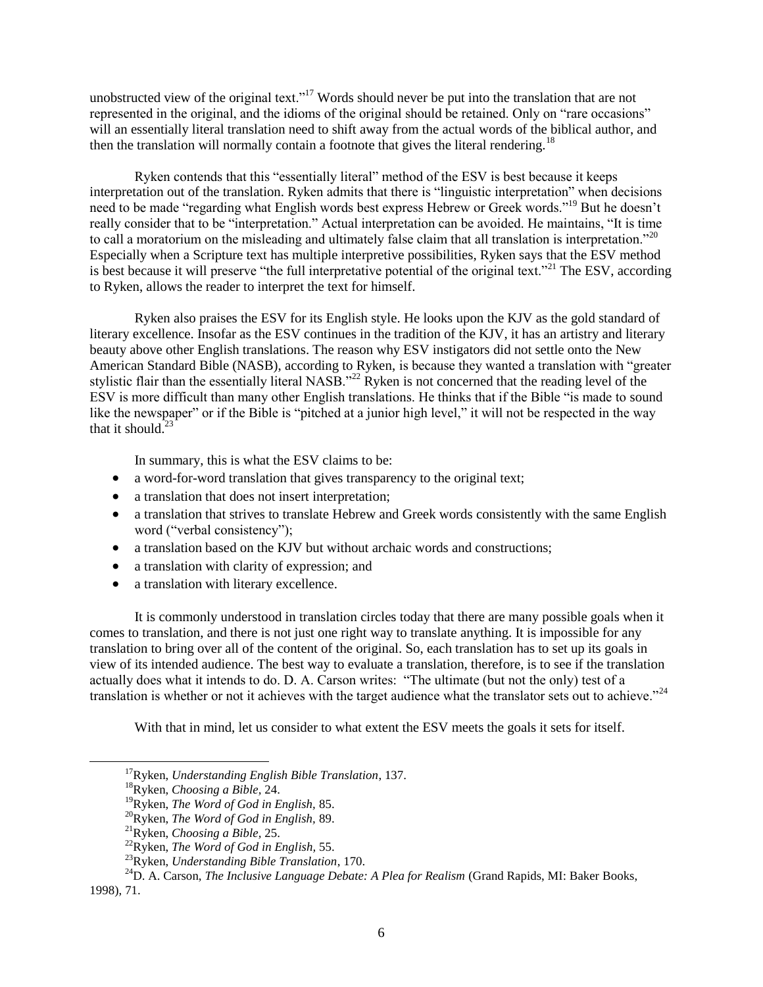unobstructed view of the original text."<sup>17</sup> Words should never be put into the translation that are not represented in the original, and the idioms of the original should be retained. Only on "rare occasions" will an essentially literal translation need to shift away from the actual words of the biblical author, and then the translation will normally contain a footnote that gives the literal rendering.<sup>18</sup>

Ryken contends that this "essentially literal" method of the ESV is best because it keeps interpretation out of the translation. Ryken admits that there is "linguistic interpretation" when decisions need to be made "regarding what English words best express Hebrew or Greek words."<sup>19</sup> But he doesn't really consider that to be "interpretation." Actual interpretation can be avoided. He maintains, "It is time to call a moratorium on the misleading and ultimately false claim that all translation is interpretation.<sup>20</sup> Especially when a Scripture text has multiple interpretive possibilities, Ryken says that the ESV method is best because it will preserve "the full interpretative potential of the original text."<sup>21</sup> The ESV, according to Ryken, allows the reader to interpret the text for himself.

Ryken also praises the ESV for its English style. He looks upon the KJV as the gold standard of literary excellence. Insofar as the ESV continues in the tradition of the KJV, it has an artistry and literary beauty above other English translations. The reason why ESV instigators did not settle onto the New American Standard Bible (NASB), according to Ryken, is because they wanted a translation with "greater stylistic flair than the essentially literal NASB.<sup>222</sup> Ryken is not concerned that the reading level of the ESV is more difficult than many other English translations. He thinks that if the Bible "is made to sound like the newspaper" or if the Bible is "pitched at a junior high level," it will not be respected in the way that it should. $^{23}$ 

In summary, this is what the ESV claims to be:

- a word-for-word translation that gives transparency to the original text;
- a translation that does not insert interpretation;
- a translation that strives to translate Hebrew and Greek words consistently with the same English word ("verbal consistency");
- a translation based on the KJV but without archaic words and constructions;
- a translation with clarity of expression; and
- a translation with literary excellence.

It is commonly understood in translation circles today that there are many possible goals when it comes to translation, and there is not just one right way to translate anything. It is impossible for any translation to bring over all of the content of the original. So, each translation has to set up its goals in view of its intended audience. The best way to evaluate a translation, therefore, is to see if the translation actually does what it intends to do. D. A. Carson writes: "The ultimate (but not the only) test of a translation is whether or not it achieves with the target audience what the translator sets out to achieve."<sup>24</sup>

With that in mind, let us consider to what extent the ESV meets the goals it sets for itself.

<sup>17</sup>Ryken, *Understanding English Bible Translation*, 137.

<sup>18</sup>Ryken, *Choosing a Bible,* 24.

<sup>19</sup>Ryken, *The Word of God in English,* 85.

<sup>20</sup>Ryken, *The Word of God in English,* 89.

<sup>21</sup>Ryken, *Choosing a Bible,* 25.

<sup>22</sup>Ryken, *The Word of God in English,* 55.

<sup>23</sup>Ryken, *Understanding Bible Translation*, 170.

<sup>&</sup>lt;sup>24</sup>D. A. Carson, *The Inclusive Language Debate: A Plea for Realism* (Grand Rapids, MI: Baker Books, 1998), 71.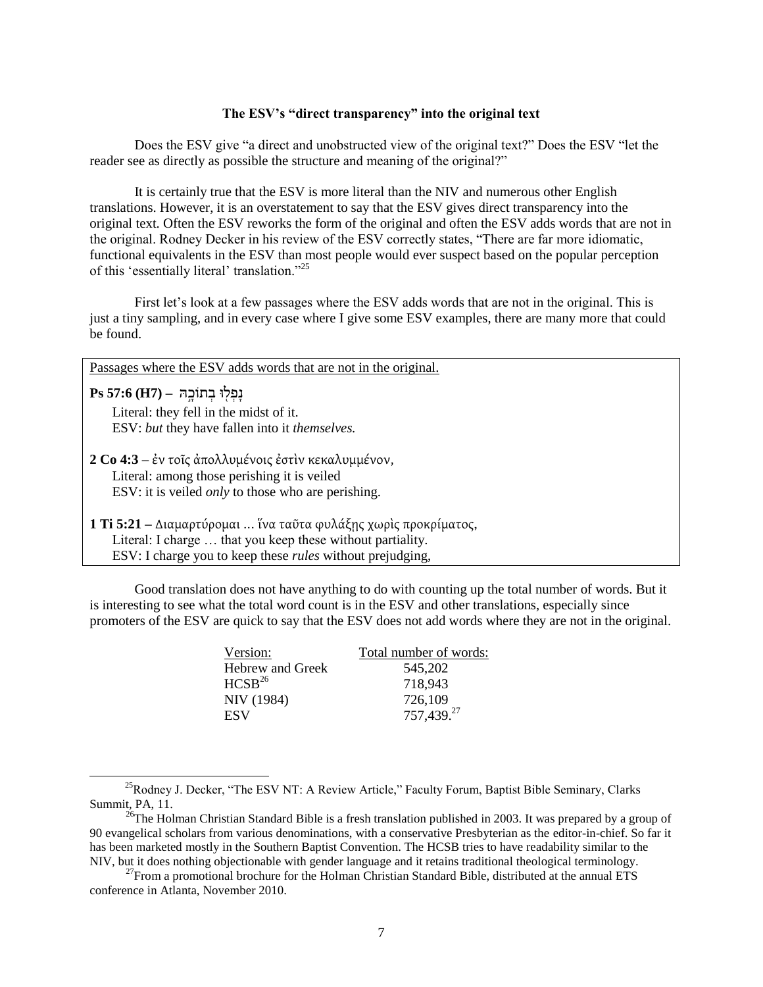### **The ESV's "direct transparency" into the original text**

Does the ESV give "a direct and unobstructed view of the original text?" Does the ESV "let the reader see as directly as possible the structure and meaning of the original?"

It is certainly true that the ESV is more literal than the NIV and numerous other English translations. However, it is an overstatement to say that the ESV gives direct transparency into the original text. Often the ESV reworks the form of the original and often the ESV adds words that are not in the original. Rodney Decker in his review of the ESV correctly states, "There are far more idiomatic, functional equivalents in the ESV than most people would ever suspect based on the popular perception of this 'essentially literal' translation."<sup>25</sup>

First let's look at a few passages where the ESV adds words that are not in the original. This is just a tiny sampling, and in every case where I give some ESV examples, there are many more that could be found.

Passages where the ESV adds words that are not in the original.

נִפְּלוּ בְתוֹכָה – (H7**) Ps** 57:6

 $\overline{a}$ 

 Literal: they fell in the midst of it. ESV: *but* they have fallen into it *themselves.*

**2 Co 4:3** – ἐν τοῖς ἀπολλυμένοις ἐστὶν κεκαλυμμένον, Literal: among those perishing it is veiled ESV: it is veiled *only* to those who are perishing.

**1 Ti 5:21** – Διαμαρτύρομαι ... ἵνα ταῦτα φυλάξης χωρὶς προκρίματος, Literal: I charge … that you keep these without partiality. ESV: I charge you to keep these *rules* without prejudging,

Good translation does not have anything to do with counting up the total number of words. But it is interesting to see what the total word count is in the ESV and other translations, especially since promoters of the ESV are quick to say that the ESV does not add words where they are not in the original.

| Version:           | Total number of words: |
|--------------------|------------------------|
| Hebrew and Greek   | 545,202                |
| HCSB <sup>26</sup> | 718,943                |
| NIV (1984)         | 726,109                |
| ESV                | 757,439.27             |

<sup>&</sup>lt;sup>25</sup>Rodney J. Decker, "The ESV NT: A Review Article," Faculty Forum, Baptist Bible Seminary, Clarks Summit, PA, 11.

<sup>&</sup>lt;sup>26</sup>The Holman Christian Standard Bible is a fresh translation published in 2003. It was prepared by a group of 90 evangelical scholars from various denominations, with a conservative Presbyterian as the editor-in-chief. So far it has been marketed mostly in the Southern Baptist Convention. The HCSB tries to have readability similar to the NIV, but it does nothing objectionable with gender language and it retains traditional theological terminology.

<sup>&</sup>lt;sup>27</sup>From a promotional brochure for the Holman Christian Standard Bible, distributed at the annual ETS conference in Atlanta, November 2010.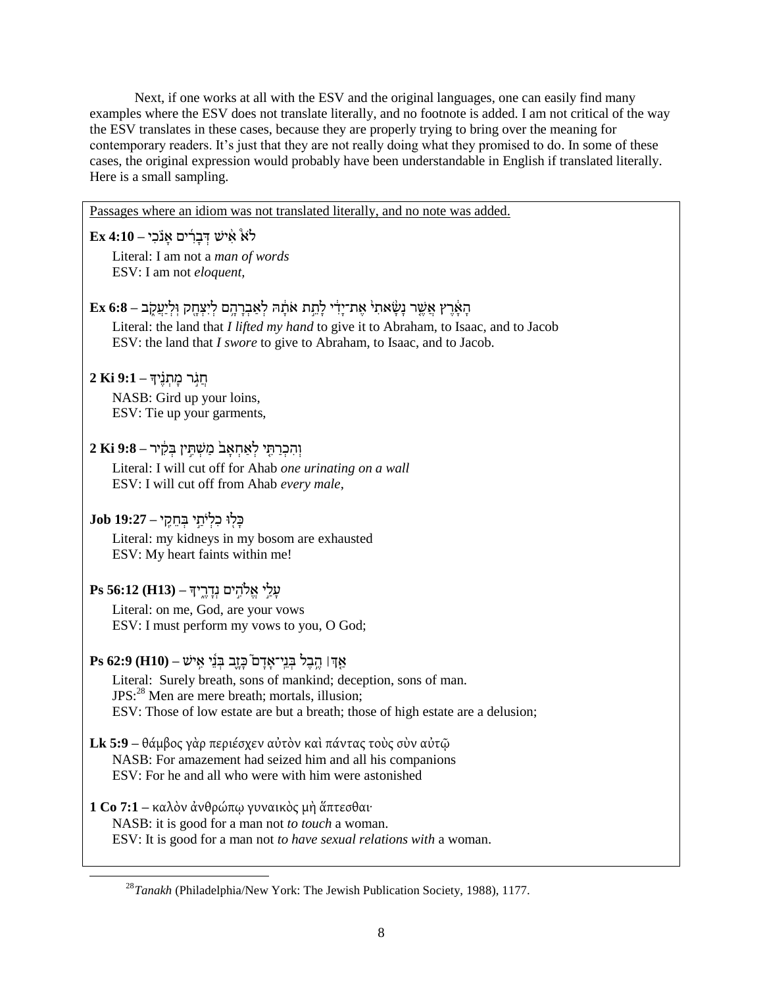Next, if one works at all with the ESV and the original languages, one can easily find many examples where the ESV does not translate literally, and no footnote is added. I am not critical of the way the ESV translates in these cases, because they are properly trying to bring over the meaning for contemporary readers. It's just that they are not really doing what they promised to do. In some of these cases, the original expression would probably have been understandable in English if translated literally. Here is a small sampling.

Passages where an idiom was not translated literally, and no note was added.

 $\text{Ex }4\text{:}10 - 2\text{E}$ יש דְּבָרִים אָנֹכִי Literal: I am not a *man of words* ESV: I am not *eloquent,*

- הָאֶרֵץ אֲשֶׁר נָשָׂאתִי אֶת־יָדִי לָתֵת אֹתָנָּה לְאַבְרָהֶם לִיִצְחֶק וְלִיַעֲקָב 6:8 Ex Literal: the land that *I lifted my hand* to give it to Abraham, to Isaac, and to Jacob ESV: the land that *I swore* to give to Abraham, to Isaac, and to Jacob.
- חֲגָ**ֿר מַתְנֵ**יִדְּ 9:1 ki 2 NASB: Gird up your loins, ESV: Tie up your garments,

וְּׁ הִּ כְּׁ שַ תִּ י לְּׁ אַ חְּׁ אָ ב֙ מַ שְּׁ תִּ ָ֣ ין בְּׁ רִֵּּ֔ יש **– 9:8 Ki 2**

Literal: I will cut off for Ahab *one urinating on a wall* ESV: I will cut off from Ahab *every male*,

כָ לִּ֖ ּו כִּ לְּׁ יֹתַ ָ֣ י בְּׁ ח ֵרִָּֽ י **– 19:27 Job**

 $\overline{\phantom{a}}$ 

Literal: my kidneys in my bosom are exhausted ESV: My heart faints within me!

ףָ לַ ָ֣י א ֹלהִּ ָ֣ ים נְּׁדָ שֶּ ֶ֑ יך **– (13H (56:12 Ps**

Literal: on me, God, are your vows ESV: I must perform my vows to you, O God;

# $\mathbf{P}s$ 62:9 (H10) – יאָדו כֵּוֵֹד בְּנֵי־אָדָם בְּוֹ

Literal: Surely breath, sons of mankind; deception, sons of man.  $JPS: <sup>28</sup>$  Men are mere breath; mortals, illusion; ESV: Those of low estate are but a breath; those of high estate are a delusion;

- Lk 5:9 θάμβος γὰρ περιέσχεν αὐτὸν καὶ πάντας τοὺς σὺν αὐτῷ NASB: For amazement had seized him and all his companions ESV: For he and all who were with him were astonished
- **1 Co 7:1** καλὸν ἀνθρώπω γυναικὸς μὴ ἅπτεσθαι·

NASB: it is good for a man not *to touch* a woman.

ESV: It is good for a man not *to have sexual relations with* a woman.

<sup>28</sup>*Tanakh* (Philadelphia/New York: The Jewish Publication Society, 1988), 1177.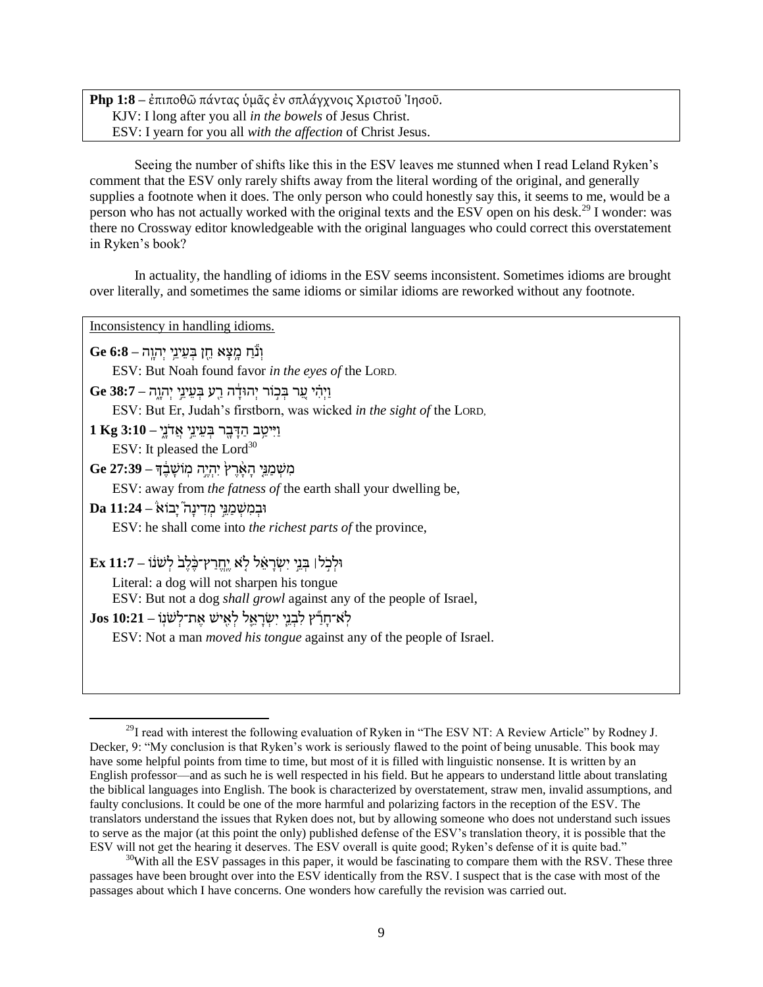**Php 1:8** – ἐπιποθῶ πάντας ὑμᾶς ἐν σπλάγχνοις Χριστοῦ Ἰησοῦ. KJV: I long after you all *in the bowels* of Jesus Christ. ESV: I yearn for you all *with the affection* of Christ Jesus.

Seeing the number of shifts like this in the ESV leaves me stunned when I read Leland Ryken's comment that the ESV only rarely shifts away from the literal wording of the original, and generally supplies a footnote when it does. The only person who could honestly say this, it seems to me, would be a person who has not actually worked with the original texts and the ESV open on his desk.<sup>29</sup> I wonder: was there no Crossway editor knowledgeable with the original languages who could correct this overstatement in Ryken's book?

In actuality, the handling of idioms in the ESV seems inconsistent. Sometimes idioms are brought over literally, and sometimes the same idioms or similar idioms are reworked without any footnote.

Inconsistency in handling idioms.

וְּׁ נֹֹ֕ חַ מָ ֥ קָ א ח ִּ֖ ן בְּׁ ף ינ ֥י יְּׁהוָ ָֽה **– 6:8 Ge**

ESV: But Noah found favor *in the eyes of* the LORD.

וַ יְּׁהִָּ֗ י ף ַ֚ ש בְּׁ כָ֣ ֹוש יְּׁהּודֵָּ֔ ה שַ ִּ֖ ע בְּׁ ף ינ ָ֣י יְּׁהוָ ֶ֑ה **– 38:7 Ge**

ESV: But Er, Judah's firstborn, was wicked *in the sight of* the LORD,

וַ יִּיטַב הַדָּבָר בְּעֵינֵי אֲדֹנֵי **1Kg 3:10** ESV: It pleased the  $Lord<sup>30</sup>$ 

מִּ שְּׁ מַ נ י הָ אֵָׁ֨ שֶּ צ֙ יִּהְּׁ יֶּ ָ֣ה מָֽ ֹושָ בֵֶּּ֔ ך **– 27:39 Ge**

ESV: away from *the fatness of* the earth shall your dwelling be,

ּובְּׁ מִּ שְּׁ מַ נ ָ֣י מְּׁ דִּ ינָ ה֮ יָבֹוא **– 11:24 Da**

 $\overline{a}$ 

ESV: he shall come into *the richest parts of* the province,

 $\text{Ex } 11$ :7 – וּלְכֹל הַנֵּי יִשְׂראָל לֹא יִחרץ־כֹּלָב לִשְׁנֹוֹ

Literal: a dog will not sharpen his tongue

ESV: But not a dog *shall growl* against any of the people of Israel,

לְאִ־חַרְּיָׁ לְבְנֵי יִשְׂרָאֱל לְאֵישׁ אֶת־לְשׁנִ<sup>ּ</sup> – 10:21 Jos

ESV: Not a man *moved his tongue* against any of the people of Israel.

 $^{29}$ I read with interest the following evaluation of Ryken in "The ESV NT: A Review Article" by Rodney J. Decker, 9: "My conclusion is that Ryken's work is seriously flawed to the point of being unusable. This book may have some helpful points from time to time, but most of it is filled with linguistic nonsense. It is written by an English professor––and as such he is well respected in his field. But he appears to understand little about translating the biblical languages into English. The book is characterized by overstatement, straw men, invalid assumptions, and faulty conclusions. It could be one of the more harmful and polarizing factors in the reception of the ESV. The translators understand the issues that Ryken does not, but by allowing someone who does not understand such issues to serve as the major (at this point the only) published defense of the ESV's translation theory, it is possible that the ESV will not get the hearing it deserves. The ESV overall is quite good; Ryken's defense of it is quite bad."

 $30$ With all the ESV passages in this paper, it would be fascinating to compare them with the RSV. These three passages have been brought over into the ESV identically from the RSV. I suspect that is the case with most of the passages about which I have concerns. One wonders how carefully the revision was carried out.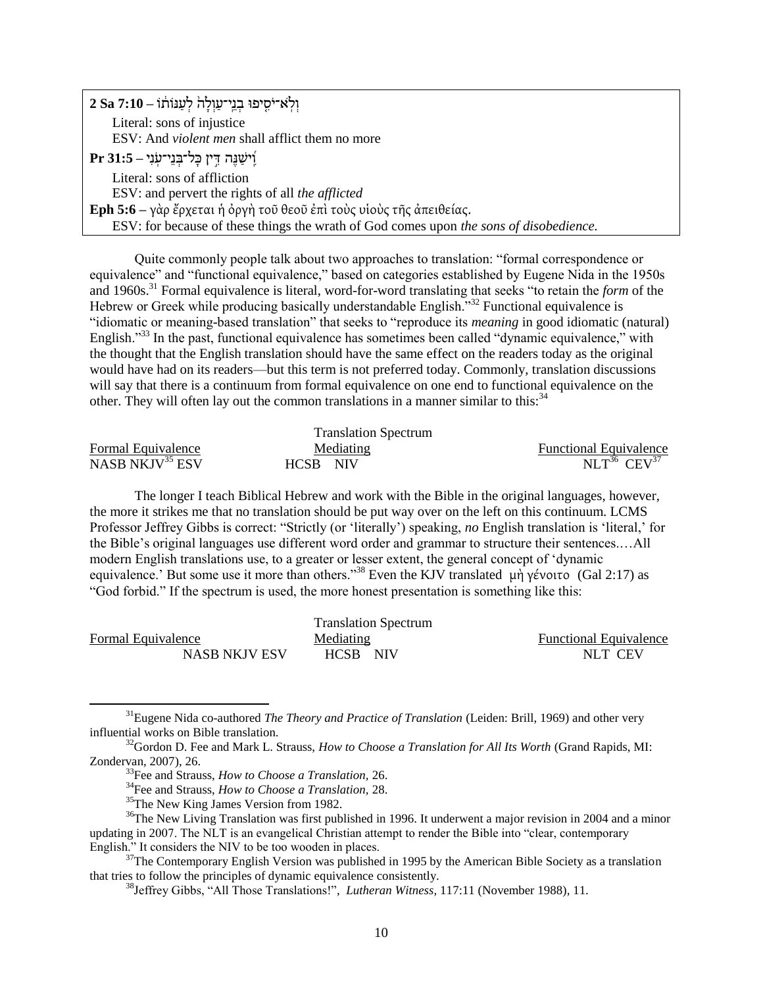| וְלְאיֹסִיפוּ בְנֵי־עַוְלָה <sup>וֹ</sup> לְעַנּוֹתוֹ – 2 Sa 7:10                      |
|----------------------------------------------------------------------------------------|
| Literal: sons of injustice                                                             |
| ESV: And <i>violent men</i> shall afflict them no more                                 |
| ר 31:5 - יִיטְנֶה דִּין כָּל־בְּנֵי־עָנִי                                              |
| Literal: sons of affliction                                                            |
| ESV: and pervert the rights of all the afflicted                                       |
| Eph 5:6 - γάρ έρχεται ή όργή τοῦ θεοῦ ἐπὶ τοὺς υἱοὺς τῆς ἀπειθείας.                    |
| ESV: for because of these things the wrath of God comes upon the sons of disobedience. |

Quite commonly people talk about two approaches to translation: "formal correspondence or equivalence" and "functional equivalence," based on categories established by Eugene Nida in the 1950s and 1960s.<sup>31</sup> Formal equivalence is literal, word-for-word translating that seeks "to retain the *form* of the Hebrew or Greek while producing basically understandable English."<sup>32</sup> Functional equivalence is "idiomatic or meaning-based translation" that seeks to "reproduce its *meaning* in good idiomatic (natural) English.<sup>333</sup> In the past, functional equivalence has sometimes been called "dynamic equivalence," with the thought that the English translation should have the same effect on the readers today as the original would have had on its readers––but this term is not preferred today. Commonly, translation discussions will say that there is a continuum from formal equivalence on one end to functional equivalence on the other. They will often lay out the common translations in a manner similar to this:  $34$ 

|                             | <b>Translation Spectrum</b> |                               |
|-----------------------------|-----------------------------|-------------------------------|
| Formal Equivalence          | Mediating                   | <b>Functional Equivalence</b> |
| NASB NKJV <sup>35</sup> ESV | HCSB -<br>NIV <sub></sub>   | $NLT^{36}$ $CEV^{37}$         |

The longer I teach Biblical Hebrew and work with the Bible in the original languages, however, the more it strikes me that no translation should be put way over on the left on this continuum. LCMS Professor Jeffrey Gibbs is correct: "Strictly (or 'literally') speaking, no English translation is 'literal,' for the Bible's original languages use different word order and grammar to structure their sentences.…All modern English translations use, to a greater or lesser extent, the general concept of 'dynamic equivalence.' But some use it more than others."<sup>38</sup> Even the KJV translated μὴ γένοιτο (Gal 2:17) as ―God forbid.‖ If the spectrum is used, the more honest presentation is something like this:

|                    | <b>Translation Spectrum</b> |                               |
|--------------------|-----------------------------|-------------------------------|
| Formal Equivalence | Mediating                   | <b>Functional Equivalence</b> |
| NASB NKJV ESV      | HCSB NIV                    | NLT CEV                       |

<sup>31</sup>Eugene Nida co-authored *The Theory and Practice of Translation* (Leiden: Brill, 1969) and other very influential works on Bible translation.

 $\overline{\phantom{a}}$ 

 $37$ The Contemporary English Version was published in 1995 by the American Bible Society as a translation that tries to follow the principles of dynamic equivalence consistently.

<sup>32</sup>Gordon D. Fee and Mark L. Strauss, *How to Choose a Translation for All Its Worth* (Grand Rapids, MI: Zondervan, 2007), 26.

<sup>33</sup>Fee and Strauss, *How to Choose a Translation,* 26.

<sup>34</sup>Fee and Strauss, *How to Choose a Translation,* 28.

<sup>&</sup>lt;sup>35</sup>The New King James Version from 1982.

 $36$ The New Living Translation was first published in 1996. It underwent a major revision in 2004 and a minor updating in 2007. The NLT is an evangelical Christian attempt to render the Bible into "clear, contemporary English." It considers the NIV to be too wooden in places.

<sup>&</sup>lt;sup>38</sup>Jeffrey Gibbs, "All Those Translations!", *Lutheran Witness*, 117:11 (November 1988), 11.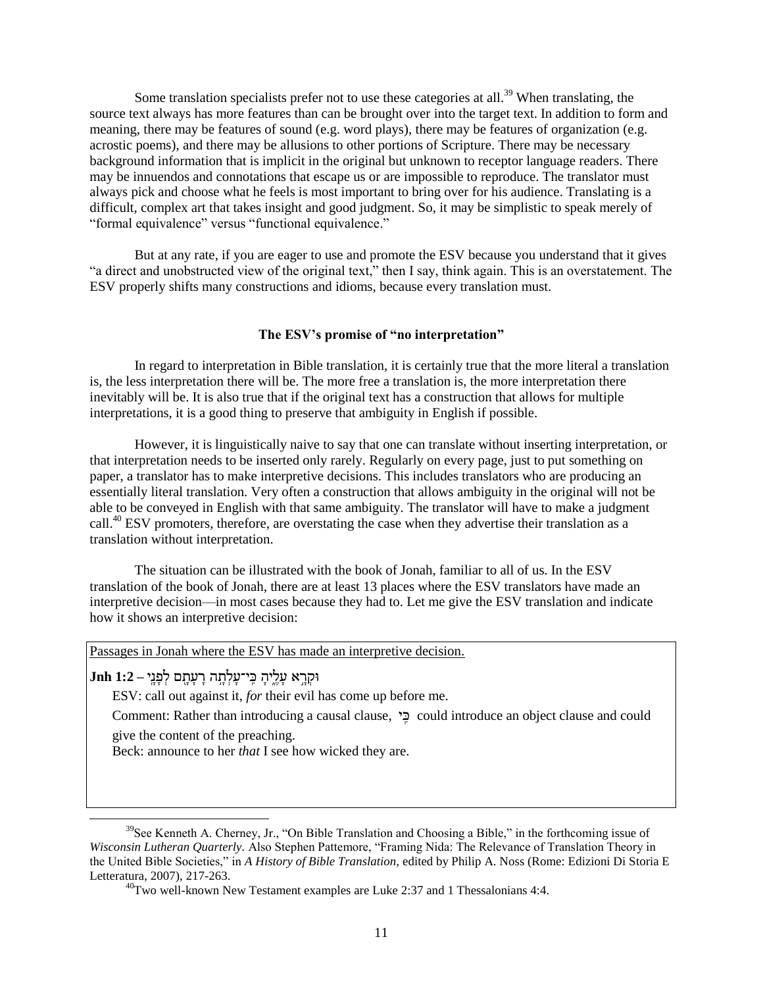Some translation specialists prefer not to use these categories at all.<sup>39</sup> When translating, the source text always has more features than can be brought over into the target text. In addition to form and meaning, there may be features of sound (e.g. word plays), there may be features of organization (e.g. acrostic poems), and there may be allusions to other portions of Scripture. There may be necessary background information that is implicit in the original but unknown to receptor language readers. There may be innuendos and connotations that escape us or are impossible to reproduce. The translator must always pick and choose what he feels is most important to bring over for his audience. Translating is a difficult, complex art that takes insight and good judgment. So, it may be simplistic to speak merely of "formal equivalence" versus "functional equivalence."

But at any rate, if you are eager to use and promote the ESV because you understand that it gives "a direct and unobstructed view of the original text," then I say, think again. This is an overstatement. The ESV properly shifts many constructions and idioms, because every translation must.

#### **The ESV's promise of "no interpretation"**

In regard to interpretation in Bible translation, it is certainly true that the more literal a translation is, the less interpretation there will be. The more free a translation is, the more interpretation there inevitably will be. It is also true that if the original text has a construction that allows for multiple interpretations, it is a good thing to preserve that ambiguity in English if possible.

However, it is linguistically naive to say that one can translate without inserting interpretation, or that interpretation needs to be inserted only rarely. Regularly on every page, just to put something on paper, a translator has to make interpretive decisions. This includes translators who are producing an essentially literal translation. Very often a construction that allows ambiguity in the original will not be able to be conveyed in English with that same ambiguity. The translator will have to make a judgment call.<sup>40</sup> ESV promoters, therefore, are overstating the case when they advertise their translation as a translation without interpretation.

The situation can be illustrated with the book of Jonah, familiar to all of us. In the ESV translation of the book of Jonah, there are at least 13 places where the ESV translators have made an interpretive decision––in most cases because they had to. Let me give the ESV translation and indicate how it shows an interpretive decision:

Passages in Jonah where the ESV has made an interpretive decision.

ּורְּׁ שָ ָ֣ א ףָ לֶּ ֶ֑יהָ כִָּֽ י־ףָ לְּׁ תָ ֥ ה שָ ףָ תָ ִּ֖ ם לְּׁ ץָ נָ ָֽי **– 1:2 Jnh**

 $\overline{a}$ 

ESV: call out against it, *for* their evil has come up before me.

Comment: Rather than introducing a causal clause, י ִָּֽכ could introduce an object clause and could give the content of the preaching.

Beck: announce to her *that* I see how wicked they are.

 $39$ See Kenneth A. Cherney, Jr., "On Bible Translation and Choosing a Bible." in the forthcoming issue of *Wisconsin Lutheran Quarterly.* Also Stephen Pattemore, "Framing Nida: The Relevance of Translation Theory in the United Bible Societies," in *A History of Bible Translation*, edited by Philip A. Noss (Rome: Edizioni Di Storia E Letteratura, 2007), 217-263.

 $^{40}$ Two well-known New Testament examples are Luke 2:37 and 1 Thessalonians 4:4.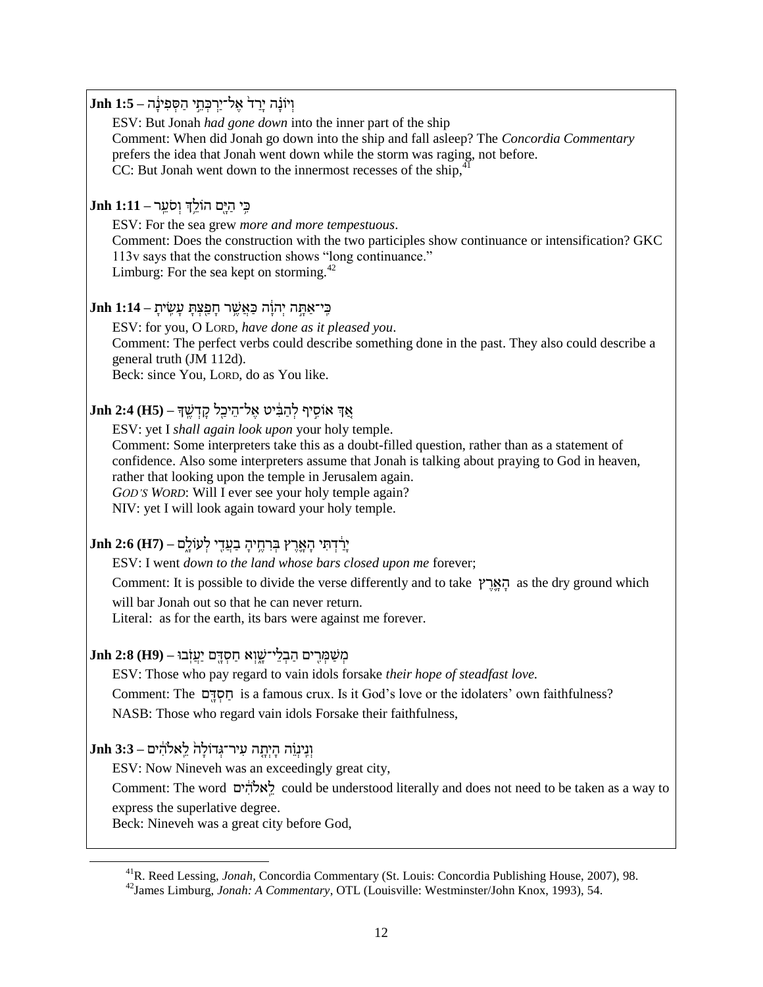וְּׁ יֹונָָ֗ ה יָשַ ד֙ אֶּ ל־יַשְּׁ כְּׁ ת ָ֣י הַ סְּׁ ץִּ ינֵָּ֔ ה **– 1:5 Jnh** ESV: But Jonah *had gone down* into the inner part of the ship Comment: When did Jonah go down into the ship and fall asleep? The *Concordia Commentary* prefers the idea that Jonah went down while the storm was raging, not before. CC: But Jonah went down to the innermost recesses of the ship, $\dot{a}$ כִּ֥ י הַ יָ ִּ֖ם הֹול ְ֥ך וְּׁ סֹף ָֽ ש **– 1:11 Jnh** ESV: For the sea grew *more and more tempestuous*. Comment: Does the construction with the two participles show continuance or intensification? GKC 113v says that the construction shows "long continuance." Limburg: For the sea kept on storming.<sup>42</sup> כִָּֽ י־אַ תָ ָ֣ ה יְּׁהוֵָּ֔ ה כַ אֲ שֶּ ֥ ש חָ ץַ ִּ֖קְּׁ תָ ףָ שִָּֽ יתָ **– 1:14 Jnh** ESV: for you, O LORD, *have done as it pleased you*. Comment: The perfect verbs could describe something done in the past. They also could describe a general truth (JM 112d). Beck: since You, LORD, do as You like. אַַ֚ ְך אֹוסִּ ָ֣ יפ לְּׁ הַ בִֵּּ֔ יט אֶּ ל־ה יכַ ִּ֖ל רָ דְּׁ שֶּ ָֽ ך **– (5H (2:4 Jnh** ESV: yet I *shall again look upon* your holy temple. Comment: Some interpreters take this as a doubt-filled question, rather than as a statement of confidence. Also some interpreters assume that Jonah is talking about praying to God in heaven, rather that looking upon the temple in Jerusalem again. *GOD'S WORD*: Will I ever see your holy temple again? NIV: yet I will look again toward your holy temple. יָשַ ֵּ֔ דְּׁ תִּ י הָ אָ ֵ֛ שֶּ צ בְּׁ שִּ חֶּ ֥ יהָ בַ ףֲ דִּ ִּ֖ י לְּׁ עֹולָ ֶ֑ם **– (7H (2:6 Jnh** ESV: I went *down to the land whose bars closed upon me* forever; Comment: It is possible to divide the verse differently and to take צ ֶּש ֵ֛ ָא ָה as the dry ground which will bar Jonah out so that he can never return. Literal: as for the earth, its bars were against me forever. מְשַׁמְּרִים הַבְלֵי־שֶׁוָא חַסְדֶם יַעֲזְבוּ – (1H) 3:8 ESV: Those who pay regard to vain idols forsake *their hope of steadfast love.* Comment: The םִּ֖ ָד ְּׁס ַח is a famous crux. Is it God's love or the idolaters' own faithfulness? NASB: Those who regard vain idols Forsake their faithfulness, וְּׁ נִָּֽינְּׁ ו ָ֗ה הָ יְּׁתָ ה ףִּ יש־גְּׁ דֹולָ ה֙ ל ָֽאֹלהִֵּּ֔ ים **– 3:3 Jnh** ESV: Now Nineveh was an exceedingly great city, Comment: The word ים ִֵּּ֔להֹאָֽ ל could be understood literally and does not need to be taken as a way to express the superlative degree. Beck: Nineveh was a great city before God,  $\overline{\phantom{a}}$ <sup>41</sup>R. Reed Lessing, *Jonah,* Concordia Commentary (St. Louis: Concordia Publishing House, 2007), 98. <sup>42</sup>James Limburg, *Jonah: A Commentary*, OTL (Louisville: Westminster/John Knox, 1993), 54.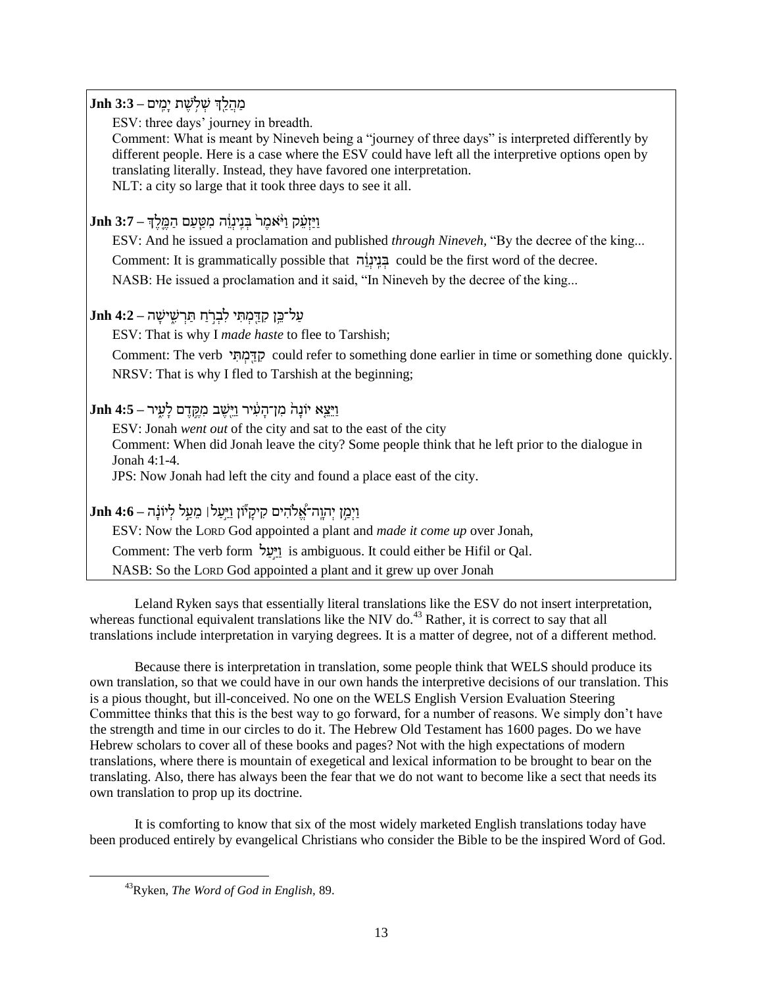## מַ<u>הֲלֵךְ שְׁ</u>לְשֶׁת יַמֵּיִם – 3:3 Jnh

ESV: three days' journey in breadth.

Comment: What is meant by Nineveh being a "journey of three days" is interpreted differently by different people. Here is a case where the ESV could have left all the interpretive options open by translating literally. Instead, they have favored one interpretation. NLT: a city so large that it took three days to see it all.

# וַ יַזְּׁ ף ָ֗ ר וַ י ֵֹׁ֨ אמֶּ ש֙ בְּׁ נִָּֽינְּׁ ו ֵּ֔ ה מִּ טַ ֵ֧ ףַ ם הַ מֶּ ֵ֛ לֶּ ְך **– 3:7 Jnh**

ESV: And he issued a proclamation and published *through Nineveh*, "By the decree of the king... Comment: It is grammatically possible that בְּנֵינָוֹּה could be the first word of the decree. NASB: He issued a proclamation and it said, "In Nineveh by the decree of the king...

# ףַ ל־כ ֥ן רִּ דַ ִּ֖ מְּׁ תִּ י לִּ בְּׁ שָֹ֣ חַ תַ שְּׁ שִּ ֶ֑ ישָ ה **– 4:2 Jnh**

ESV: That is why I *made haste* to flee to Tarshish;

Comment: The verb י ִּת ְּׁמ ִּ֖ ַד ִּר could refer to something done earlier in time or something done quickly. NRSV: That is why I fled to Tarshish at the beginning;

# וַ י ק א יֹונָ ה֙ מִּ ן־הָ ףִֵּּ֔ יש וַ י ִּ֖שֶּ ב מִּ קֶּ ָ֣ דֶּ ם לָ ףִּ ֶ֑ יש **– 4:5 Jnh**

ESV: Jonah *went out* of the city and sat to the east of the city Comment: When did Jonah leave the city? Some people think that he left prior to the dialogue in Jonah 4:1-4. JPS: Now Jonah had left the city and found a place east of the city.

# וַ יְּׁמַ ָ֣ ן יְּׁהוָ ָֽה־א ֱ֠ ֹלהִּ ים רִּ ירָ יַֹ֞ון וַ יַ ָ֣ףַ ל׀ מ ףַ ָ֣ל לְּׁ יֹונָָ֗ ה **– 4:6 Jnh**

ESV: Now the LORD God appointed a plant and *made it come up* over Jonah, Comment: The verb form ויעל is ambiguous. It could either be Hifil or Qal. NASB: So the LORD God appointed a plant and it grew up over Jonah

Leland Ryken says that essentially literal translations like the ESV do not insert interpretation, whereas functional equivalent translations like the NIV do.<sup>43</sup> Rather, it is correct to say that all translations include interpretation in varying degrees. It is a matter of degree, not of a different method.

Because there is interpretation in translation, some people think that WELS should produce its own translation, so that we could have in our own hands the interpretive decisions of our translation. This is a pious thought, but ill-conceived. No one on the WELS English Version Evaluation Steering Committee thinks that this is the best way to go forward, for a number of reasons. We simply don't have the strength and time in our circles to do it. The Hebrew Old Testament has 1600 pages. Do we have Hebrew scholars to cover all of these books and pages? Not with the high expectations of modern translations, where there is mountain of exegetical and lexical information to be brought to bear on the translating. Also, there has always been the fear that we do not want to become like a sect that needs its own translation to prop up its doctrine.

It is comforting to know that six of the most widely marketed English translations today have been produced entirely by evangelical Christians who consider the Bible to be the inspired Word of God.

<sup>43</sup>Ryken, *The Word of God in English,* 89.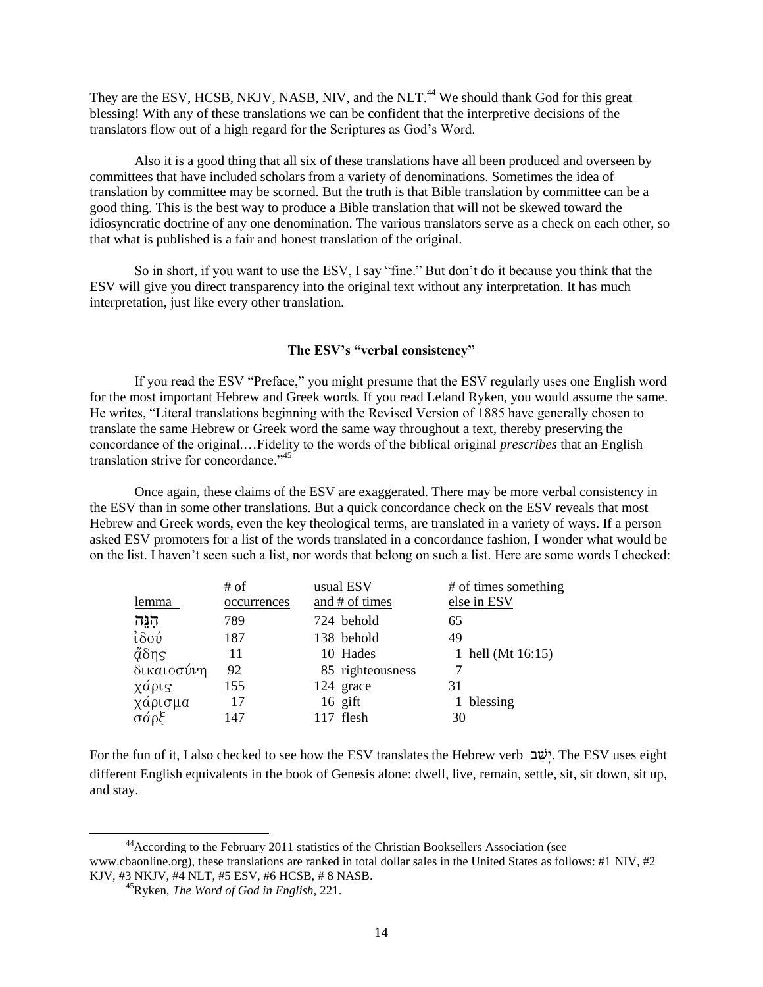They are the ESV, HCSB, NKJV, NASB, NIV, and the NLT.<sup>44</sup> We should thank God for this great blessing! With any of these translations we can be confident that the interpretive decisions of the translators flow out of a high regard for the Scriptures as God's Word.

Also it is a good thing that all six of these translations have all been produced and overseen by committees that have included scholars from a variety of denominations. Sometimes the idea of translation by committee may be scorned. But the truth is that Bible translation by committee can be a good thing. This is the best way to produce a Bible translation that will not be skewed toward the idiosyncratic doctrine of any one denomination. The various translators serve as a check on each other, so that what is published is a fair and honest translation of the original.

So in short, if you want to use the ESV, I say "fine." But don't do it because you think that the ESV will give you direct transparency into the original text without any interpretation. It has much interpretation, just like every other translation.

### **The ESV's "verbal consistency"**

If you read the ESV "Preface," you might presume that the ESV regularly uses one English word for the most important Hebrew and Greek words. If you read Leland Ryken, you would assume the same. He writes, "Literal translations beginning with the Revised Version of 1885 have generally chosen to translate the same Hebrew or Greek word the same way throughout a text, thereby preserving the concordance of the original.…Fidelity to the words of the biblical original *prescribes* that an English translation strive for concordance."<sup>45</sup>

Once again, these claims of the ESV are exaggerated. There may be more verbal consistency in the ESV than in some other translations. But a quick concordance check on the ESV reveals that most Hebrew and Greek words, even the key theological terms, are translated in a variety of ways. If a person asked ESV promoters for a list of the words translated in a concordance fashion, I wonder what would be on the list. I haven't seen such a list, nor words that belong on such a list. Here are some words I checked:

|                 | $#$ of      | usual ESV        | # of times something |
|-----------------|-------------|------------------|----------------------|
| lemma           | occurrences | and # of times   | else in ESV          |
| הְנֵה           | 789         | 724 behold       | 65                   |
| ίδού            | 187         | 138 behold       | 49                   |
| $\tilde{a}$ δης | 11          | 10 Hades         | 1 hell (Mt 16:15)    |
| δικαιοσύνη      | 92          | 85 righteousness |                      |
| χάρις           | 155         | 124 grace        | 31                   |
| χάρισμα<br>σάρξ | 17          | $16$ gift        | 1 blessing           |
|                 | 147         | 117 flesh        | 30                   |

For the fun of it, I also checked to see how the ESV translates the Hebrew verb ב ַשָי. The ESV uses eight different English equivalents in the book of Genesis alone: dwell, live, remain, settle, sit, sit down, sit up, and stay.

<sup>44</sup>According to the February 2011 statistics of the Christian Booksellers Association (see www.cbaonline.org), these translations are ranked in total dollar sales in the United States as follows: #1 NIV, #2 KJV, #3 NKJV, #4 NLT, #5 ESV, #6 HCSB, # 8 NASB.

<sup>45</sup>Ryken, *The Word of God in English,* 221.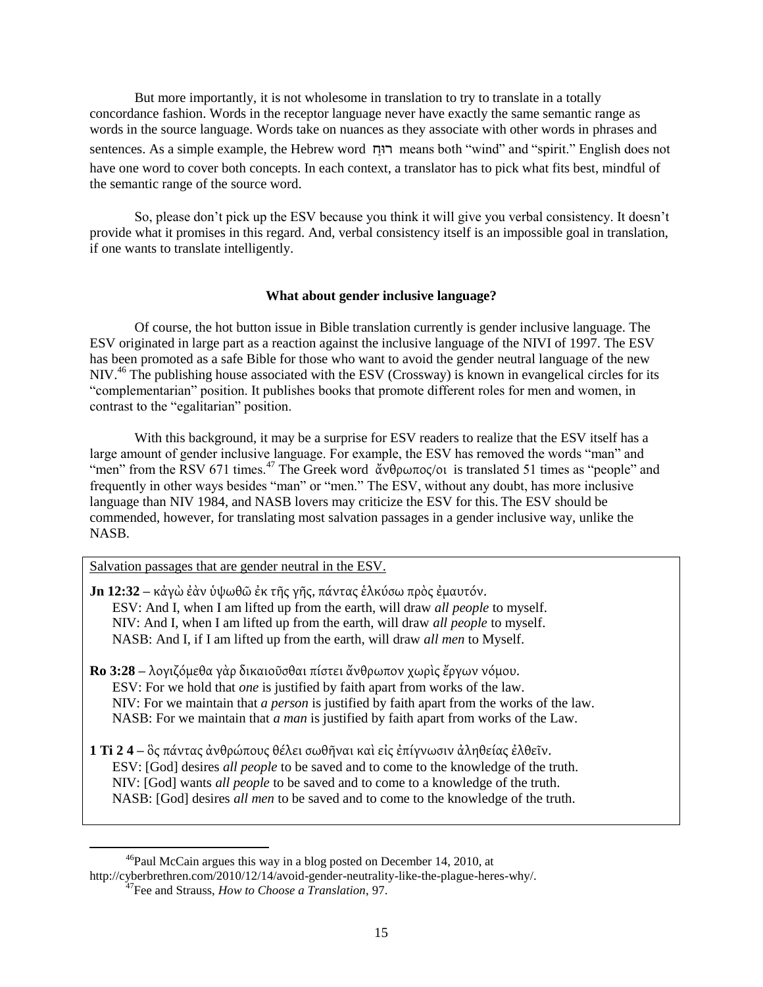But more importantly, it is not wholesome in translation to try to translate in a totally concordance fashion. Words in the receptor language never have exactly the same semantic range as words in the source language. Words take on nuances as they associate with other words in phrases and sentences. As a simple example, the Hebrew word  $\overline{m}$  means both "wind" and "spirit." English does not have one word to cover both concepts. In each context, a translator has to pick what fits best, mindful of the semantic range of the source word.

So, please don't pick up the ESV because you think it will give you verbal consistency. It doesn't provide what it promises in this regard. And, verbal consistency itself is an impossible goal in translation, if one wants to translate intelligently.

### **What about gender inclusive language?**

Of course, the hot button issue in Bible translation currently is gender inclusive language. The ESV originated in large part as a reaction against the inclusive language of the NIVI of 1997. The ESV has been promoted as a safe Bible for those who want to avoid the gender neutral language of the new NIV.<sup>46</sup> The publishing house associated with the ESV (Crossway) is known in evangelical circles for its ―complementarian‖ position. It publishes books that promote different roles for men and women, in contrast to the "egalitarian" position.

With this background, it may be a surprise for ESV readers to realize that the ESV itself has a large amount of gender inclusive language. For example, the ESV has removed the words "man" and "men" from the RSV 671 times.<sup>47</sup> The Greek word άνθρωπος/οι is translated 51 times as "people" and frequently in other ways besides "man" or "men." The ESV, without any doubt, has more inclusive language than NIV 1984, and NASB lovers may criticize the ESV for this. The ESV should be commended, however, for translating most salvation passages in a gender inclusive way, unlike the NASB.

Salvation passages that are gender neutral in the ESV.

- **Jn 12:32** κάγὼ ἐὰν ὑψωθῶ ἐκ τῆς γῆς, πάντας ἑλκύσω πρὸς ἐμαυτόν. ESV: And I, when I am lifted up from the earth, will draw *all people* to myself. NIV: And I, when I am lifted up from the earth, will draw *all people* to myself. NASB: And I, if I am lifted up from the earth, will draw *all men* to Myself.
- **Ro 3:28** λογιζόμεθα γὰρ δικαιοῦσθαι πίστει ἄνθρωπον χωρὶς ἔργων νόμου. ESV: For we hold that *one* is justified by faith apart from works of the law. NIV: For we maintain that *a person* is justified by faith apart from the works of the law. NASB: For we maintain that *a man* is justified by faith apart from works of the Law.
- 1 **Τi 2 4** ὃς πάντας ἀνθρώπους θέλει σωθῆναι καὶ εἰς ἐπίγνωσιν ἀληθείας ἐλθεῖν. ESV: [God] desires *all people* to be saved and to come to the knowledge of the truth. NIV: [God] wants *all people* to be saved and to come to a knowledge of the truth. NASB: [God] desires *all men* to be saved and to come to the knowledge of the truth.

 $\overline{\phantom{a}}$ <sup>46</sup>Paul McCain argues this way in a blog posted on December 14, 2010, at http://cyberbrethren.com/2010/12/14/avoid-gender-neutrality-like-the-plague-heres-why/.

<sup>47</sup>Fee and Strauss, *How to Choose a Translation*, 97.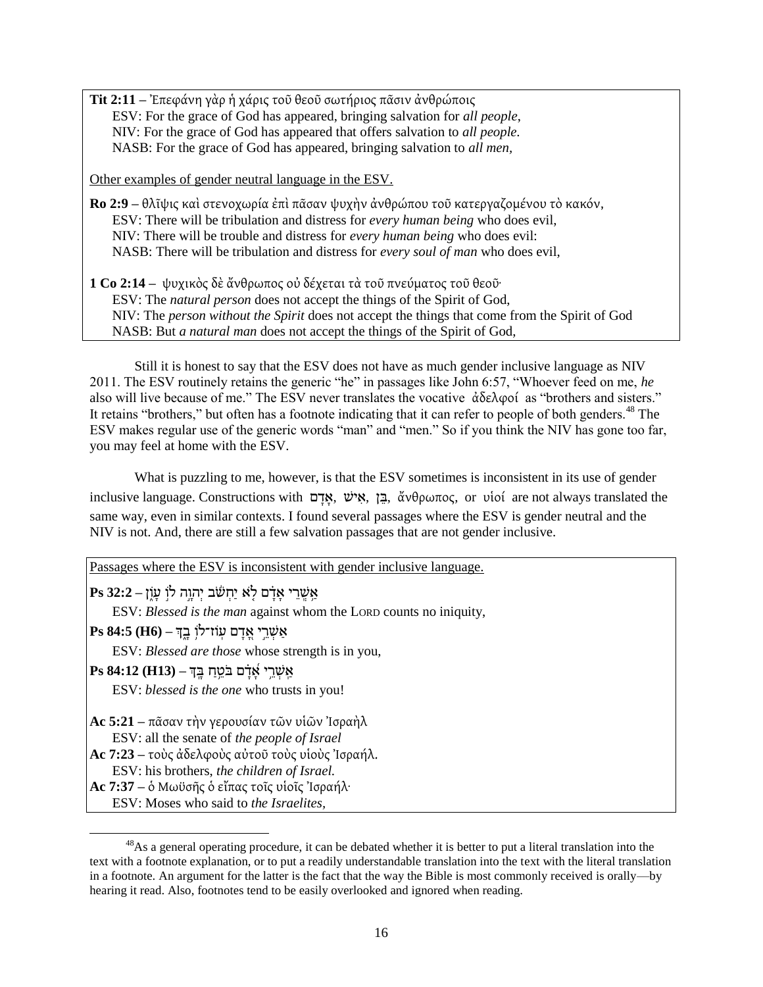**Tit 2:11** – Έπεφάνη γὰρ ἡ χάρις τοῦ θεοῦ σωτήριος πᾶσιν ἀνθρώποις ESV: For the grace of God has appeared, bringing salvation for *all people*, NIV: For the grace of God has appeared that offers salvation to *all people.* NASB: For the grace of God has appeared, bringing salvation to *all men,*

Other examples of gender neutral language in the ESV.

**Ro 2:9 –** θλῖψις καὶ στενοχωρία ἐπὶ πᾶσαν ψυχὴν ἀνθρώπου τοῦ κατεργαζομένου τὸ κακόν, ESV: There will be tribulation and distress for *every human being* who does evil, NIV: There will be trouble and distress for *every human being* who does evil: NASB: There will be tribulation and distress for *every soul of man* who does evil,

**1 Co 2:14** – ψυχικὸς δὲ ἄνθρωπος οὐ δέχεται τὰ τοῦ πνεύματος τοῦ θεοῦ<sup>.</sup> ESV: The *natural person* does not accept the things of the Spirit of God, NIV: The *person without the Spirit* does not accept the things that come from the Spirit of God NASB: But *a natural man* does not accept the things of the Spirit of God,

Still it is honest to say that the ESV does not have as much gender inclusive language as NIV 2011. The ESV routinely retains the generic "he" in passages like John 6:57, "Whoever feed on me, *he* also will live because of me." The ESV never translates the vocative  $\dot{\alpha} \delta \epsilon \lambda \varphi \varphi$  as "brothers and sisters." It retains "brothers," but often has a footnote indicating that it can refer to people of both genders.<sup>48</sup> The ESV makes regular use of the generic words "man" and "men." So if you think the NIV has gone too far, you may feel at home with the ESV.

What is puzzling to me, however, is that the ESV sometimes is inconsistent in its use of gender inclusive language. Constructions with  $\frac{1}{2}$ , *δ*νθρωπος, or vἱοί are not always translated the same way, even in similar contexts. I found several passages where the ESV is gender neutral and the NIV is not. And, there are still a few salvation passages that are not gender inclusive.

Passages where the ESV is inconsistent with gender inclusive language.

אַ ֥ שְָּֽׁ ש י אָ דָָ֗ ם ל ֹ א יַחְּׁ שֹֹׁ֬ ב יְּׁהוָ ָ֣ה לֹוָ֣ ףָ ֹוֶ֑ ן **– 32:2 Ps**

ESV: *Blessed is the man* against whom the LORD counts no iniquity,

אַ שְּׁ ש ָ֣ י אֱָ֭ דָ ם ףָֽ ֹוז־לֹו֥ בָ ְֶ֑ך **– (6H (84:5 Ps**

ESV: *Blessed are those* whose strength is in you,

אַ ָֽ שְּׁ ש ֥ י אִָֽ֝ דָָ֗ ם בֹ ט ֥ חַ בָ ָֽ ְך **– (13H (84:12 Ps**

ESV: *blessed is the one* who trusts in you!

**Ac 5:21** – πάσαν την γερουσίαν των υίων Ίσραηλ ESV: all the senate of *the people of Israel*

**Ac 7:23** – τοὺς ἀδελφοὺς αὐτοῦ τοὺς υἱοὺς Ἰσραήλ.

ESV: his brothers, *the children of Israel.*

**Ac 7:37** – ὁ Μωϋσῆς ὁ εἴπας τοῖς υἱοῖς Ἰσραήλ·

ESV: Moses who said to *the Israelites,*

<sup>&</sup>lt;sup>48</sup>As a general operating procedure, it can be debated whether it is better to put a literal translation into the text with a footnote explanation, or to put a readily understandable translation into the text with the literal translation in a footnote. An argument for the latter is the fact that the way the Bible is most commonly received is orally––by hearing it read. Also, footnotes tend to be easily overlooked and ignored when reading.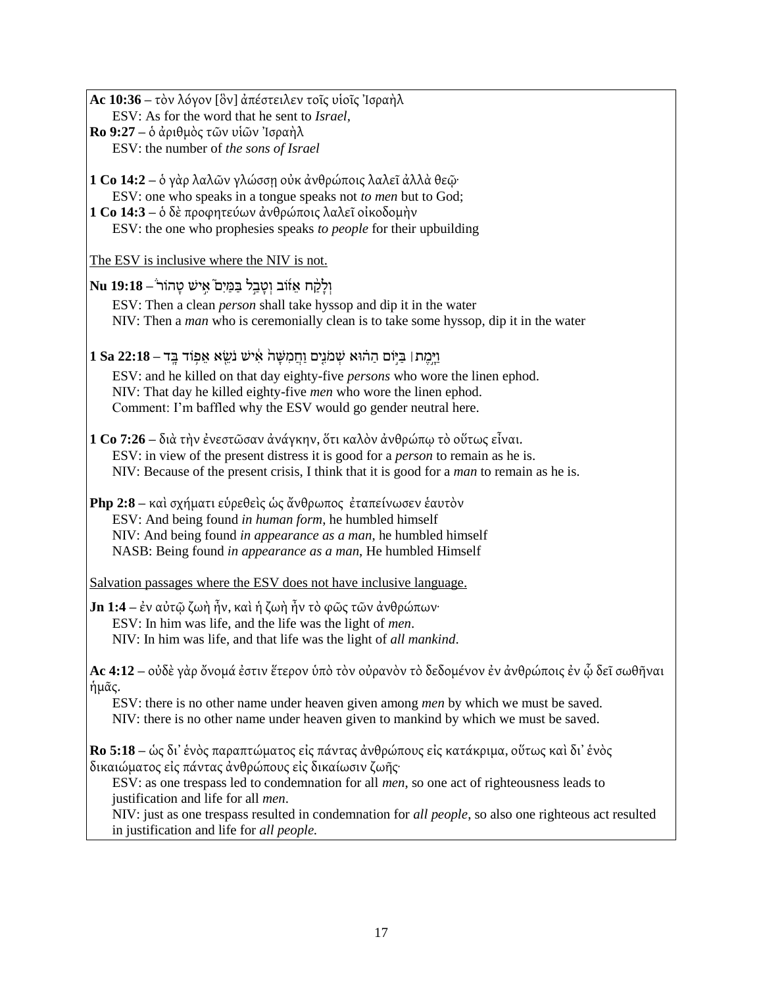**Ac 10:36** – τὸν λόγον [ὃν] ἀπέστειλεν τοῖς υἱοῖς Ἰσραὴλ ESV: As for the word that he sent to *Israel,* **Ro 9:27** – ὁ ἀριθμὸς τῶν υἱῶν Ἰσραὴλ

ESV: the number of *the sons of Israel*

**1 Co 14:2** – ὁ γὰρ λαλῶν γλώσση οὐκ ἀνθρώποις λαλεῖ ἀλλὰ θεῶ· ESV: one who speaks in a tongue speaks not *to men* but to God;

**1 Co 14:3** – ο δε προφητεύων ανθρώποις λαλεῖ οἰκοδομὴν ESV: the one who prophesies speaks *to people* for their upbuilding

The ESV is inclusive where the NIV is not.

וְּׁ לָ רֵַׁ֨ ח א זִ֜ ֹוב וְּׁ טָ בַ ָ֣ל בַ מַ יִּם֮ אִּ ָ֣ יש טָ הֹוש **– 19:18 Nu**

ESV: Then a clean *person* shall take hyssop and dip it in the water NIV: Then a *man* who is ceremonially clean is to take some hyssop, dip it in the water

וַ יָ ָ֣מֶּ ת׀ בַ יָֹ֣ום הַ הָ֗ ּוא שְּׁ מֹנִּ ים וַ חֲ מִּ שָ ה֙ אִֵּּ֔ יש נֹש ִּ֖ א א ץ֥ ֹוד בָ ָֽ ד **– 22:18 Sa 1**

ESV: and he killed on that day eighty-five *persons* who wore the linen ephod. NIV: That day he killed eighty-five *men* who wore the linen ephod. Comment: I'm baffled why the ESV would go gender neutral here.

**1 Co 7:26 –** διὰ τὴν ἐνεστῶσαν ἀνάγκην, ὅτι καλὸν ἀνθρώπω τὸ οὕτως εἶναι. ESV: in view of the present distress it is good for a *person* to remain as he is. NIV: Because of the present crisis, I think that it is good for a *man* to remain as he is.

**Php 2:8** – καὶ σχήματι εὑρεθεὶς ὡς ἄνθρωπος ἐταπείνωσεν ἑαυτὸν ESV: And being found *in human form*, he humbled himself NIV: And being found *in appearance as a man*, he humbled himself NASB: Being found *in appearance as a man*, He humbled Himself

Salvation passages where the ESV does not have inclusive language.

**Jn 1:4** – ἐν αὐτῷ ζωὴ ἦν, καὶ ἡ ζωὴ ἦν τὸ φῶς τῶν ἀνθρώπων· ESV: In him was life, and the life was the light of *men*. NIV: In him was life, and that life was the light of *all mankind*.

**Ac 4:12 –** οὐδὲ γὰρ ὄνομά ἐστιν ἕτερον ὑπὸ τὸν οὐρανὸν τὸ δεδομένον ἐν ἀνθρώποις ἐν ῷ δεῖ σωθῆναι ήμας.

ESV: there is no other name under heaven given among *men* by which we must be saved. NIV: there is no other name under heaven given to mankind by which we must be saved.

**Ro 5:18** – ώς δι' ένὸς παραπτώματος εἰς πάντας ἀνθρώπους εἰς κατάκριμα, οὕτως καὶ δι' ἑνὸς δικαιώματος εἰς πάντας ἀνθρώπους εἰς δικαίωσιν ζωῆς·

ESV: as one trespass led to condemnation for all *men*, so one act of righteousness leads to justification and life for all *men*.

NIV: just as one trespass resulted in condemnation for *all people*, so also one righteous act resulted in justification and life for *all people.*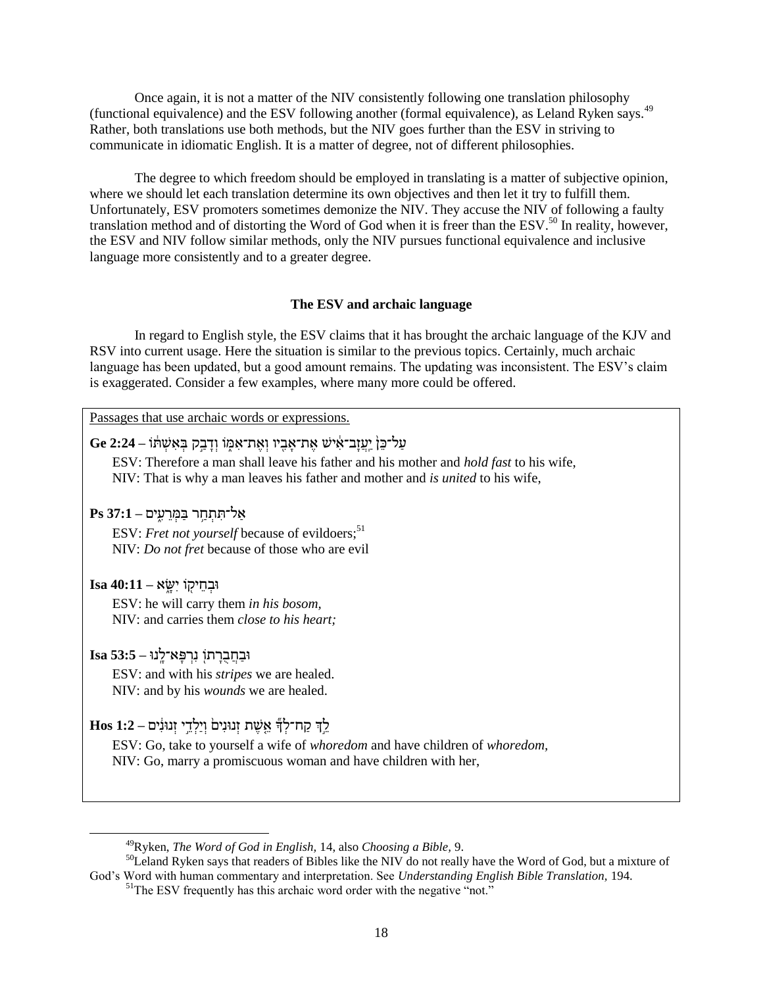Once again, it is not a matter of the NIV consistently following one translation philosophy (functional equivalence) and the ESV following another (formal equivalence), as Leland Ryken says.<sup>49</sup> Rather, both translations use both methods, but the NIV goes further than the ESV in striving to communicate in idiomatic English. It is a matter of degree, not of different philosophies.

The degree to which freedom should be employed in translating is a matter of subjective opinion, where we should let each translation determine its own objectives and then let it try to fulfill them. Unfortunately, ESV promoters sometimes demonize the NIV. They accuse the NIV of following a faulty translation method and of distorting the Word of God when it is freer than the ESV.<sup>50</sup> In reality, however, the ESV and NIV follow similar methods, only the NIV pursues functional equivalence and inclusive language more consistently and to a greater degree.

### **The ESV and archaic language**

In regard to English style, the ESV claims that it has brought the archaic language of the KJV and RSV into current usage. Here the situation is similar to the previous topics. Certainly, much archaic language has been updated, but a good amount remains. The updating was inconsistent. The ESV's claim is exaggerated. Consider a few examples, where many more could be offered.

Passages that use archaic words or expressions.

## ףַ ל־כ ן֙ יַ ָֽףֲ זָב־אִֵּּ֔ יש אֶּ ת־אָ בִּ ִּ֖ יו וְּׁ אֶּ ת־אִּ מֶ֑ ֹו וְּׁ דָ בַ ָ֣ר בְּׁ אִּ שְּׁ תֵּ֔ ֹו **– 2:24 Ge**

ESV: Therefore a man shall leave his father and his mother and *hold fast* to his wife, NIV: That is why a man leaves his father and mother and *is united* to his wife,

## אַ ל־תִּ תְּׁ חַ ֥ ש בַ מְּׁ ש ףִּ ֶ֑ ים **– 37:1 Ps**

ESV: *Fret not yourself* because of evildoers;<sup>51</sup> NIV: *Do not fret* because of those who are evil

### **Isa 40:11 – יִּבְּחֵיקוֹ** יִשָּׂא

 $\overline{\phantom{a}}$ 

ESV: he will carry them *in his bosom,* NIV: and carries them *close to his heart;*

## ּובַ חֲ בֻ שָ תֹוִּ֖ נִּ שְּׁ פָ א־לָ ָֽ נּו **– 53:5 Isa**

ESV: and with his *stripes* we are healed. NIV: and by his *wounds* we are healed.

# ל ְָ֣ך רַ ח־לְּׁ ךַ֞ א שֶּ ת זְּׁ נּונִּים֙ וְּׁ יַלְּׁ ד ָ֣י זְּׁ נּונִֵּּ֔ י ם **– 1:2 Hos**

ESV: Go, take to yourself a wife of *whoredom* and have children of *whoredom,* NIV: Go, marry a promiscuous woman and have children with her,

<sup>49</sup>Ryken, *The Word of God in English,* 14, also *Choosing a Bible,* 9.

<sup>&</sup>lt;sup>50</sup>Leland Ryken says that readers of Bibles like the NIV do not really have the Word of God, but a mixture of God's Word with human commentary and interpretation. See *Understanding English Bible Translation,* 194.

<sup>&</sup>lt;sup>51</sup>The ESV frequently has this archaic word order with the negative "not."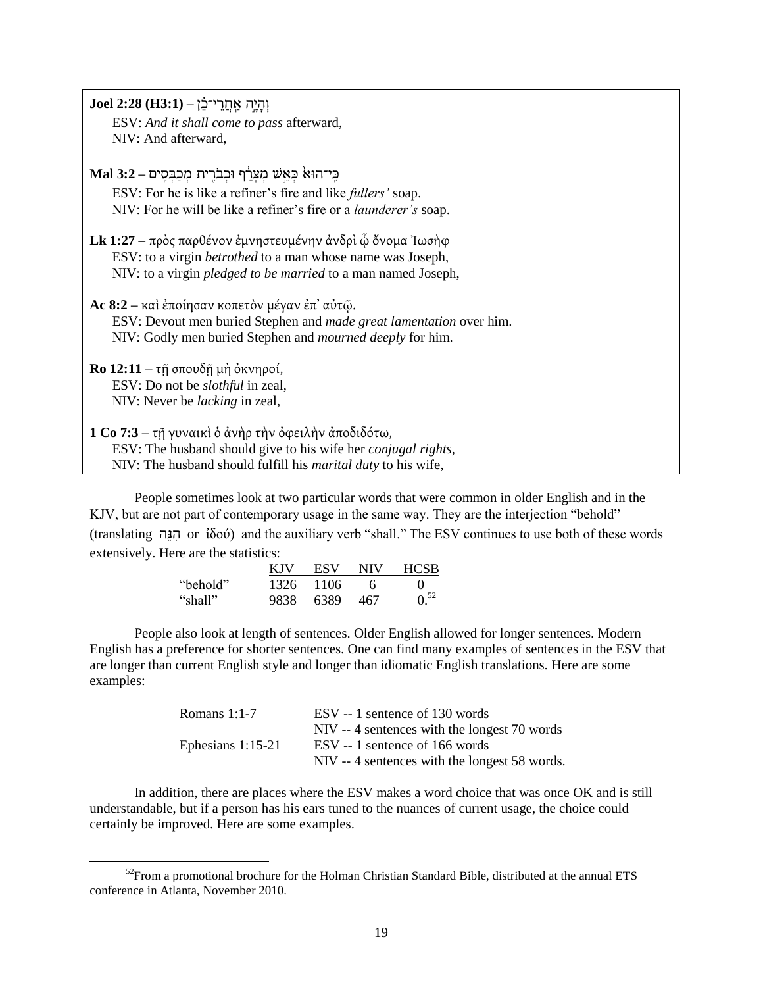| וְהָיֶה אֲחֲרֵי־בֶּן – (H3:1) Joel 2:28                                 |
|-------------------------------------------------------------------------|
| ESV: And it shall come to pass afterward,                               |
| NIV: And afterward,                                                     |
|                                                                         |
| בֵי־הוּא כִּאֵשׁ מִצָּרֵף וּכִבֹרֶית מִכַבִּסִים – Mal 3:2              |
| ESV: For he is like a refiner's fire and like <i>fullers'</i> soap.     |
| NIV: For he will be like a refiner's fire or a <i>launderer's</i> soap. |
|                                                                         |
| Lk 1:27 - πρός παρθένον εμνηστευμένην ανδρί ω όνομα Ίωσηφ               |
| ESV: to a virgin <i>betrothed</i> to a man whose name was Joseph,       |
| NIV: to a virgin <i>pledged to be married</i> to a man named Joseph,    |
|                                                                         |
| <b>Ac 8:2</b> – και έποίησαν κοπετόν μέγαν επ' αυτώ.                    |
| ESV: Devout men buried Stephen and made great lamentation over him.     |
| NIV: Godly men buried Stephen and <i>mourned deeply</i> for him.        |
|                                                                         |
| <b>Ro 12:11</b> – τη σπουδή μη όκνηροί,                                 |
| ESV: Do not be <i>slothful</i> in zeal,                                 |
| NIV: Never be <i>lacking</i> in zeal,                                   |
|                                                                         |
| 1 Co 7:3 – τῆ γυναικὶ ὁ ἀνὴρ τὴν ὀφειλὴν ἀποδιδότω,                     |
| ESV: The husband should give to his wife her conjugal rights,           |
| NIV: The husband should fulfill his <i>marital duty</i> to his wife,    |

People sometimes look at two particular words that were common in older English and in the KJV, but are not part of contemporary usage in the same way. They are the interjection "behold" (translating הגָּה or ἰδού) and the auxiliary verb "shall." The ESV continues to use both of these words extensively. Here are the statistics:

|          | KJV. | ESV       | NIV | <b>HCSB</b> |
|----------|------|-----------|-----|-------------|
| "behold" |      | 1326 1106 | 6   |             |
| "shall"  | 9838 | 6389      | 467 | $0^{52}$    |

 $\overline{\phantom{a}}$ 

People also look at length of sentences. Older English allowed for longer sentences. Modern English has a preference for shorter sentences. One can find many examples of sentences in the ESV that are longer than current English style and longer than idiomatic English translations. Here are some examples:

| Romans $1:1-7$      | ESV -- 1 sentence of 130 words                |
|---------------------|-----------------------------------------------|
|                     | NIV -- 4 sentences with the longest 70 words  |
| Ephesians $1:15-21$ | ESV -- 1 sentence of 166 words                |
|                     | NIV -- 4 sentences with the longest 58 words. |

In addition, there are places where the ESV makes a word choice that was once OK and is still understandable, but if a person has his ears tuned to the nuances of current usage, the choice could certainly be improved. Here are some examples.

 $52$ From a promotional brochure for the Holman Christian Standard Bible, distributed at the annual ETS conference in Atlanta, November 2010.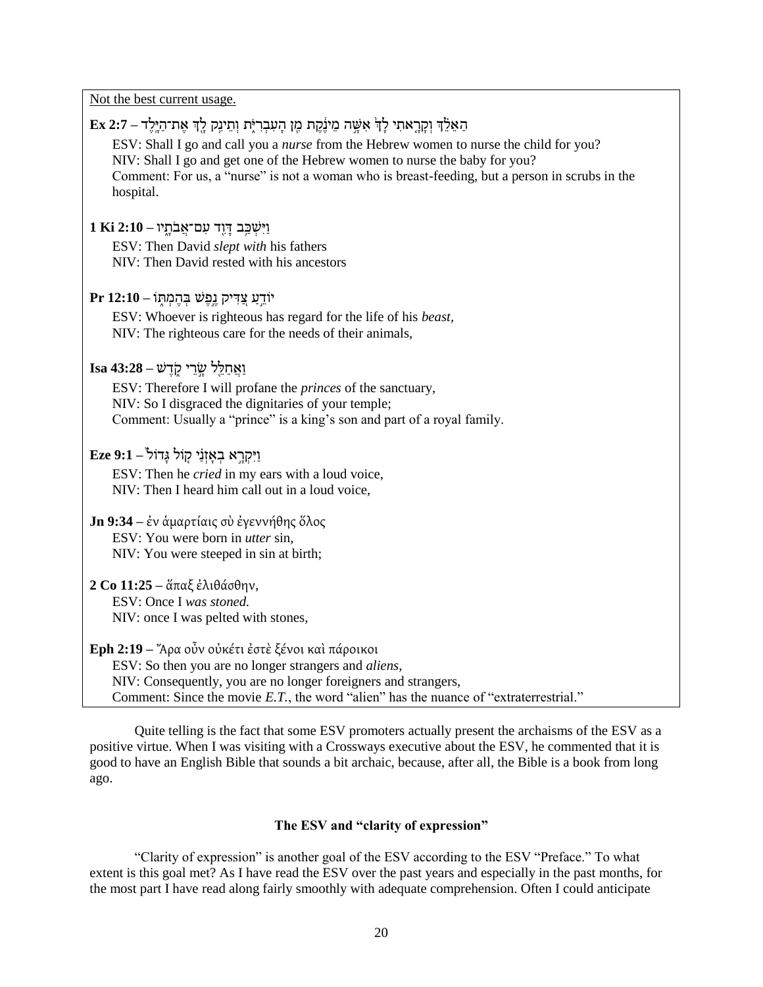Not the best current usage.

| הַאֵלֶךְ וְקָרֶאתִי לָךְ אִשֶּׁה מֵינֶּקֶת מֶן הָעִבְרִיֶּת וְתֵינְק לֶךְ אֶת־הַיֶּלֶד – 2:7 Ex<br>ESV: Shall I go and call you a nurse from the Hebrew women to nurse the child for you?<br>NIV: Shall I go and get one of the Hebrew women to nurse the baby for you?<br>Comment: For us, a "nurse" is not a woman who is breast-feeding, but a person in scrubs in the<br>hospital. |
|----------------------------------------------------------------------------------------------------------------------------------------------------------------------------------------------------------------------------------------------------------------------------------------------------------------------------------------------------------------------------------------|
| 1 Ei 2:10 – יַאֲבֹתָיו                                                                                                                                                                                                                                                                                                                                                                 |
| ESV: Then David slept with his fathers<br>NIV: Then David rested with his ancestors                                                                                                                                                                                                                                                                                                    |
| יוֹדֵעַ צֵדִיק גֵפֵשׁ בִּהֵמְתְּוֹ – Pr 12:10                                                                                                                                                                                                                                                                                                                                          |
| ESV: Whoever is righteous has regard for the life of his beast,<br>NIV: The righteous care for the needs of their animals,                                                                                                                                                                                                                                                             |
| $\operatorname{Isa}\,43:28$ – וַאֲחַלֵּל שֱרֵי קֹדֵשׁ                                                                                                                                                                                                                                                                                                                                  |
| ESV: Therefore I will profane the <i>princes</i> of the sanctuary,<br>NIV: So I disgraced the dignitaries of your temple;<br>Comment: Usually a "prince" is a king's son and part of a royal family.                                                                                                                                                                                   |
| וַיִּקְרֵא בְאָזְנַי קָוֹל גָּדוֹל <sup>יּ</sup> – 2:1 Eze                                                                                                                                                                                                                                                                                                                             |
| ESV: Then he <i>cried</i> in my ears with a loud voice,<br>NIV: Then I heard him call out in a loud voice,                                                                                                                                                                                                                                                                             |
| <b>Jn 9:34</b> – έν άμαρτίαις σὺ έγεννήθης ὅλος<br>ESV: You were born in <i>utter</i> sin,<br>NIV: You were steeped in sin at birth;                                                                                                                                                                                                                                                   |
| 2 Co 11:25 - ἅπαξ ἐλιθάσθην,                                                                                                                                                                                                                                                                                                                                                           |
| ESV: Once I was stoned.<br>NIV: once I was pelted with stones,                                                                                                                                                                                                                                                                                                                         |
| <b>Eph 2:19</b> – "Αρα οὖν οὐκέτι ἐστὲ ξένοι καὶ πάροικοι<br>ESV: So then you are no longer strangers and <i>aliens</i> ,<br>NIV: Consequently, you are no longer foreigners and strangers,<br>Comment: Since the movie E.T., the word "alien" has the nuance of "extraterrestrial."                                                                                                   |

Quite telling is the fact that some ESV promoters actually present the archaisms of the ESV as a positive virtue. When I was visiting with a Crossways executive about the ESV, he commented that it is good to have an English Bible that sounds a bit archaic, because, after all, the Bible is a book from long ago.

## **The ESV and "clarity of expression"**

"Clarity of expression" is another goal of the ESV according to the ESV "Preface." To what extent is this goal met? As I have read the ESV over the past years and especially in the past months, for the most part I have read along fairly smoothly with adequate comprehension. Often I could anticipate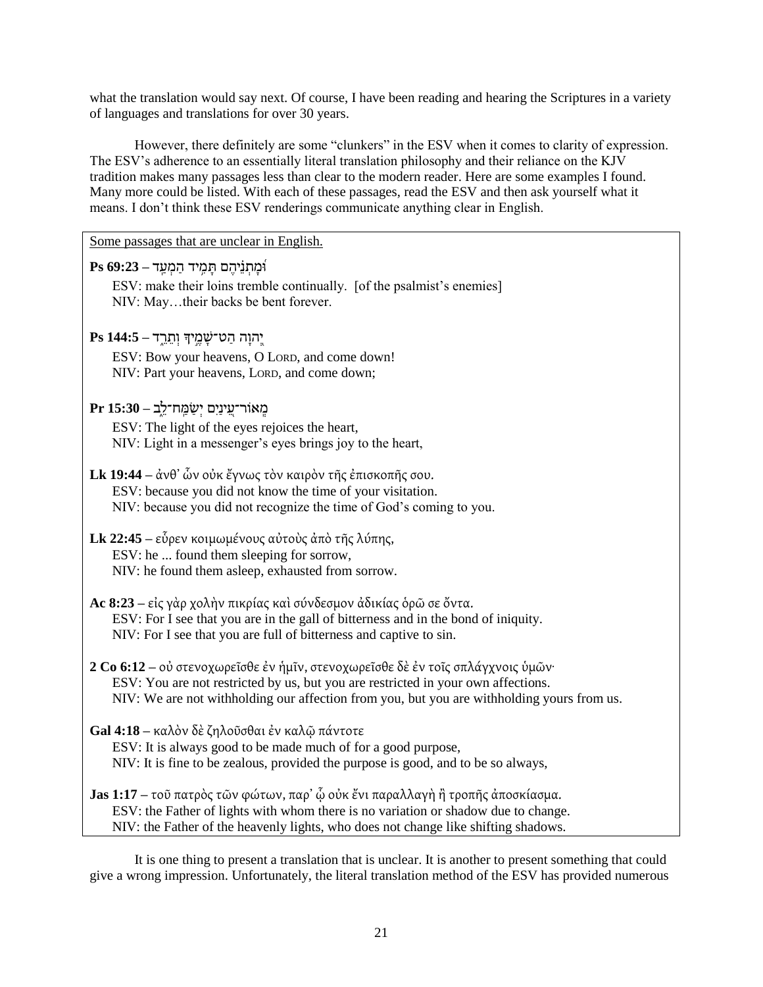what the translation would say next. Of course, I have been reading and hearing the Scriptures in a variety of languages and translations for over 30 years.

However, there definitely are some "clunkers" in the ESV when it comes to clarity of expression. The ESV's adherence to an essentially literal translation philosophy and their reliance on the KJV tradition makes many passages less than clear to the modern reader. Here are some examples I found. Many more could be listed. With each of these passages, read the ESV and then ask yourself what it means. I don't think these ESV renderings communicate anything clear in English.

| Some passages that are unclear in English.                                                                                                                                                                                                                         |
|--------------------------------------------------------------------------------------------------------------------------------------------------------------------------------------------------------------------------------------------------------------------|
| וּמָתְנֵיהֵם תַּמֶיד הַמְעַד – 9:23 Ps<br>ESV: make their loins tremble continually. [of the psalmist's enemies]<br>NIV: Maytheir backs be bent forever.                                                                                                           |
| יֲהוָה הַט־שָׁמֵיךְ וְתֵרֵד – 144:5 Ps<br>ESV: Bow your heavens, O LORD, and come down!<br>NIV: Part your heavens, LORD, and come down;                                                                                                                            |
| מֵאוֹר־עֵינַיִם יִשַׂמֲח־לֵב – 15:30 Pr<br>ESV: The light of the eyes rejoices the heart,<br>NIV: Light in a messenger's eyes brings joy to the heart,                                                                                                             |
| <b>Lk 19:44</b> – άνθ' ὧν ούκ ἔγνως τὸν καιρὸν τῆς ἐπισκοπῆς σου.<br>ESV: because you did not know the time of your visitation.<br>NIV: because you did not recognize the time of God's coming to you.                                                             |
| <b>Lk 22:45</b> – εὗρεν κοιμωμένους αὐτοὺς ἀπὸ τῆς λύπης,<br>ESV: he  found them sleeping for sorrow,<br>NIV: he found them asleep, exhausted from sorrow.                                                                                                         |
| Ac 8:23 – είς γὰρ χολὴν πικρίας καὶ σύνδεσμον ἀδικίας ὁρῶ σε ὄντα.<br>ESV: For I see that you are in the gall of bitterness and in the bond of iniquity.<br>NIV: For I see that you are full of bitterness and captive to sin.                                     |
| 2 Co 6:12 – οὐ στενοχωρεῖσθε ἐν ἡμῖν, στενοχωρεῖσθε δὲ ἐν τοῖς σπλάγχνοις ὑμῶν·<br>ESV: You are not restricted by us, but you are restricted in your own affections.<br>NIV: We are not withholding our affection from you, but you are withholding yours from us. |
| Gal 4:18 - καλόν δε ζηλοῦσθαι έν καλῷ πάντοτε<br>ESV: It is always good to be made much of for a good purpose,<br>NIV: It is fine to be zealous, provided the purpose is good, and to be so always,                                                                |
| Jas 1:17 – τοῦ πατρὸς τῶν φώτων, παρ' ὧ οὐκ ἔνι παραλλαγὴ ἢ τροπῆς ἀποσκίασμα.<br>ESV: the Father of lights with whom there is no variation or shadow due to change.<br>NIV: the Father of the heavenly lights, who does not change like shifting shadows.         |

It is one thing to present a translation that is unclear. It is another to present something that could give a wrong impression. Unfortunately, the literal translation method of the ESV has provided numerous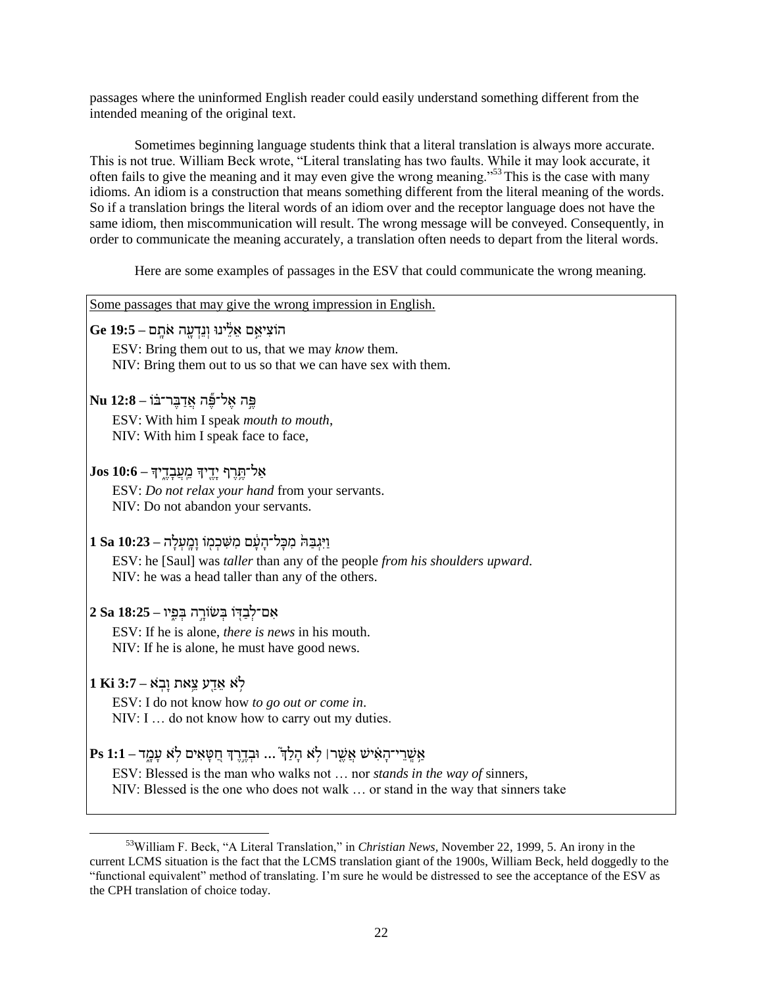passages where the uninformed English reader could easily understand something different from the intended meaning of the original text.

Sometimes beginning language students think that a literal translation is always more accurate. This is not true. William Beck wrote, "Literal translating has two faults. While it may look accurate, it often fails to give the meaning and it may even give the wrong meaning."<sup>53</sup> This is the case with many idioms. An idiom is a construction that means something different from the literal meaning of the words. So if a translation brings the literal words of an idiom over and the receptor language does not have the same idiom, then miscommunication will result. The wrong message will be conveyed. Consequently, in order to communicate the meaning accurately, a translation often needs to depart from the literal words.

Here are some examples of passages in the ESV that could communicate the wrong meaning.

| Some passages that may give the wrong impression in English.                                                                                                                                                                                                                                                                                                                                                                |
|-----------------------------------------------------------------------------------------------------------------------------------------------------------------------------------------------------------------------------------------------------------------------------------------------------------------------------------------------------------------------------------------------------------------------------|
| הוֹצִיאֵם אֵלֵינוּ וְנֵדְעָה אֹתָם – 5:5]                                                                                                                                                                                                                                                                                                                                                                                   |
| ESV: Bring them out to us, that we may <i>know</i> them.                                                                                                                                                                                                                                                                                                                                                                    |
| NIV: Bring them out to us so that we can have sex with them.                                                                                                                                                                                                                                                                                                                                                                |
| Ru 12:8 – אֱל־פֶּה אֱדַבֵּר־בֹּוֹ                                                                                                                                                                                                                                                                                                                                                                                           |
|                                                                                                                                                                                                                                                                                                                                                                                                                             |
| ESV: With him I speak mouth to mouth,                                                                                                                                                                                                                                                                                                                                                                                       |
| NIV: With him I speak face to face,                                                                                                                                                                                                                                                                                                                                                                                         |
| $\int \text{Jos } 10.6 - \frac{1}{2} \int \frac{1}{2} \int \frac{1}{2} \int \frac{1}{2} \int \frac{1}{2} \int \frac{1}{2} \int \frac{1}{2} \int \frac{1}{2} \int \frac{1}{2} \int \frac{1}{2} \int \frac{1}{2} \int \frac{1}{2} \int \frac{1}{2} \int \frac{1}{2} \int \frac{1}{2} \int \frac{1}{2} \int \frac{1}{2} \int \frac{1}{2} \int \frac{1}{2} \int \frac{1}{2} \int \frac{1}{2} \int \frac{1}{2} \int \frac{1}{2}$ |
| ESV: Do not relax your hand from your servants.                                                                                                                                                                                                                                                                                                                                                                             |
| NIV: Do not abandon your servants.                                                                                                                                                                                                                                                                                                                                                                                          |
|                                                                                                                                                                                                                                                                                                                                                                                                                             |
| וַיְּגִבַּהֹּ מִכָּל־הַעַּׁם מִשְׁכְמִוֹ וַמֵעְלַה – 18a 10:23                                                                                                                                                                                                                                                                                                                                                              |
| ESV: he [Saul] was taller than any of the people from his shoulders upward.                                                                                                                                                                                                                                                                                                                                                 |
| NIV: he was a head taller than any of the others.                                                                                                                                                                                                                                                                                                                                                                           |
| אִם־לְבַדְוֹ בְּשׂוֹרֵה בְּפֵיו – 25a 18:25                                                                                                                                                                                                                                                                                                                                                                                 |
| ESV: If he is alone, <i>there is news</i> in his mouth.                                                                                                                                                                                                                                                                                                                                                                     |
| NIV: If he is alone, he must have good news.                                                                                                                                                                                                                                                                                                                                                                                |
|                                                                                                                                                                                                                                                                                                                                                                                                                             |
| 1 Ki 3:7 – לא אֲדֵע צֵאת וַבְא                                                                                                                                                                                                                                                                                                                                                                                              |
| ESV: I do not know how to go out or come in.                                                                                                                                                                                                                                                                                                                                                                                |
| NIV: I  do not know how to carry out my duties.                                                                                                                                                                                                                                                                                                                                                                             |
| $ {\bf P}{\bf s} \> 1$ :1 אַשֲרֵי־הָאִישׁ אֲשֱרּ  לְא הָלַדְ ֿ וּבְדֱרֶדְּ חֲסָּאִים לְא עָמֱד                                                                                                                                                                                                                                                                                                                              |
| ESV: Blessed is the man who walks not  nor <i>stands in the way of sinners</i> ,                                                                                                                                                                                                                                                                                                                                            |
| NIV: Blessed is the one who does not walk  or stand in the way that sinners take                                                                                                                                                                                                                                                                                                                                            |
|                                                                                                                                                                                                                                                                                                                                                                                                                             |

<sup>&</sup>lt;sup>53</sup>William F. Beck, "A Literal Translation," in *Christian News*, November 22, 1999, 5. An irony in the current LCMS situation is the fact that the LCMS translation giant of the 1900s, William Beck, held doggedly to the "functional equivalent" method of translating. I'm sure he would be distressed to see the acceptance of the ESV as the CPH translation of choice today.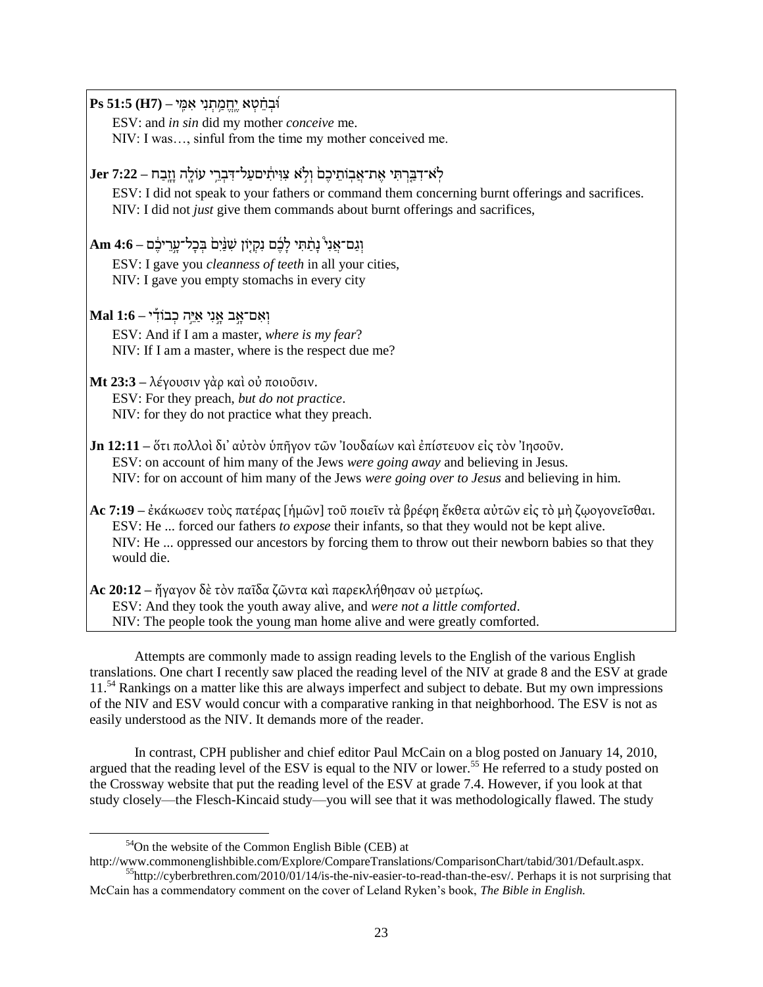ּוִֽ֝בְּׁ ח ָ֗ טְּׁ א יֶּ ָֽח מַ ֥ תְּׁ נִּי אִּ מִָּֽ י **– (7H (51:5 Ps** ESV: and *in sin* did my mother *conceive* me. NIV: I was…, sinful from the time my mother conceived me. ל ָֹֽ א־דִּ בַ שְּׁ תִּ י אֶּ ת־אֲ בָֽ ֹות יכֶּ ם֙ וְּׁ ל ָֹ֣ א קִּ ּוִּ יתִֵּּ֔ יםףַ ל־דִּ בְּׁ ש ֥ י עֹולָ ִּ֖ה וָ זָ ָֽבַ ח **– 7:22 Jer** ESV: I did not speak to your fathers or command them concerning burnt offerings and sacrifices. NIV: I did not *just* give them commands about burnt offerings and sacrifices, וְּׁ גַ ם־אֲ נִּי֩ נָ תֵַׁ֨ תִּ י לָ כִֶּ֜ ם נִּרְּׁ י ֹון שִּ נֵַׁ֨ יִּם֙ בְּׁ כָ ל־ףָ ָ֣ש יכֵֶּּ֔ ם **– 4:6 Am** ESV: I gave you *cleanness of teeth* in all your cities, NIV: I gave you empty stomachs in every city וְּׁ אִּ ם־אָ ָ֣ ב אָ ָ֣ נִּי אַ י ָ֣ה כְּׁ בֹודִַּ֡ י **– 1:6 Mal** ESV: And if I am a master, *where is my fear*? NIV: If I am a master, where is the respect due me? **Mt 23:3** – λέγουσιν γὰρ καὶ οὐ ποιοῦσιν. ESV: For they preach, *but do not practice*. NIV: for they do not practice what they preach. **Jn 12:11** – ὅτι πολλοὶ δι' αὐτὸν ὑπῆγον τῶν Ἰουδαίων καὶ ἐπίστευον εἰς τὸν Ἰησοῦν. ESV: on account of him many of the Jews *were going away* and believing in Jesus. NIV: for on account of him many of the Jews *were going over to Jesus* and believing in him. Ac 7:19 – ἐκάκωσεν τοὺς πατέρας [ἡμῶν] τοῦ ποιεῖν τὰ βρέφη ἔκθετα αὐτῶν εἰς τὸ μὴ ζῳογονεῖσθαι. ESV: He ... forced our fathers *to expose* their infants, so that they would not be kept alive. NIV: He ... oppressed our ancestors by forcing them to throw out their newborn babies so that they would die. **Ac 20:12** – ἤγαγον δὲ τὸν παῖδα ζῶντα καὶ παρεκλήθησαν οὐ μετρίως. ESV: And they took the youth away alive, and *were not a little comforted*. NIV: The people took the young man home alive and were greatly comforted.

Attempts are commonly made to assign reading levels to the English of the various English translations. One chart I recently saw placed the reading level of the NIV at grade 8 and the ESV at grade 11.<sup>54</sup> Rankings on a matter like this are always imperfect and subject to debate. But my own impressions of the NIV and ESV would concur with a comparative ranking in that neighborhood. The ESV is not as easily understood as the NIV. It demands more of the reader.

In contrast, CPH publisher and chief editor Paul McCain on a blog posted on January 14, 2010, argued that the reading level of the ESV is equal to the NIV or lower.<sup>55</sup> He referred to a study posted on the Crossway website that put the reading level of the ESV at grade 7.4. However, if you look at that study closely—the Flesch-Kincaid study—you will see that it was methodologically flawed. The study

 $54$ On the website of the Common English Bible (CEB) at

http://www.commonenglishbible.com/Explore/CompareTranslations/ComparisonChart/tabid/301/Default.aspx. <sup>55</sup>http://cyberbrethren.com/2010/01/14/is-the-niv-easier-to-read-than-the-esv/. Perhaps it is not surprising that McCain has a commendatory comment on the cover of Leland Ryken's book, *The Bible in English.*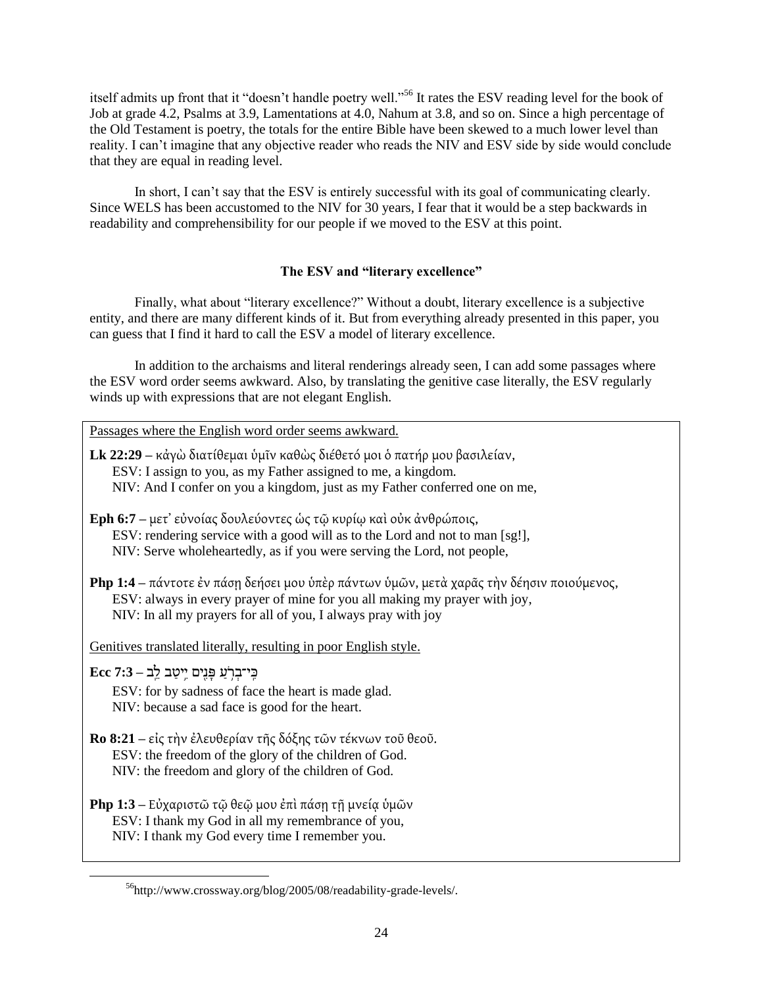itself admits up front that it "doesn't handle poetry well."<sup>56</sup> It rates the ESV reading level for the book of Job at grade 4.2, Psalms at 3.9, Lamentations at 4.0, Nahum at 3.8, and so on. Since a high percentage of the Old Testament is poetry, the totals for the entire Bible have been skewed to a much lower level than reality. I can't imagine that any objective reader who reads the NIV and ESV side by side would conclude that they are equal in reading level.

In short, I can't say that the ESV is entirely successful with its goal of communicating clearly. Since WELS has been accustomed to the NIV for 30 years, I fear that it would be a step backwards in readability and comprehensibility for our people if we moved to the ESV at this point.

## **The ESV and "literary excellence"**

Finally, what about "literary excellence?" Without a doubt, literary excellence is a subjective entity, and there are many different kinds of it. But from everything already presented in this paper, you can guess that I find it hard to call the ESV a model of literary excellence.

In addition to the archaisms and literal renderings already seen, I can add some passages where the ESV word order seems awkward. Also, by translating the genitive case literally, the ESV regularly winds up with expressions that are not elegant English.

Passages where the English word order seems awkward.

**Lk 22:29** – κάγὼ διατίθεμαι ὑμῖν καθὼς διέθετό μοι ὁ πατήρ μου βασιλείαν, ESV: I assign to you, as my Father assigned to me, a kingdom. NIV: And I confer on you a kingdom, just as my Father conferred one on me,

**Eph 6:7** – μετ' εὐνοίας δουλεύοντες ὡς τῶ κυρίω καὶ οὐκ ἀνθρώποις, ESV: rendering service with a good will as to the Lord and not to man [sg!], NIV: Serve wholeheartedly, as if you were serving the Lord, not people,

**Php 1:4** – πάντοτε έν πάση δεήσει μου ὑπὲρ πάντων ὑμῶν, μετὰ χαρᾶς τὴν δέησιν ποιούμενος, ESV: always in every prayer of mine for you all making my prayer with joy, NIV: In all my prayers for all of you, I always pray with joy

Genitives translated literally, resulting in poor English style.

כִָּֽ י־בְּׁ שֹ֥ עַ פָ נִּ ִּ֖ים יִּ֥יטַ ב ל ָֽב **– 7:3 Ecc**

 $\overline{\phantom{a}}$ 

ESV: for by sadness of face the heart is made glad. NIV: because a sad face is good for the heart.

- **Ro 8:21** εἰς τὴν ἐλευθερίαν τῆς δόξης τῶν τέκνων τοῦ θεοῦ. ESV: the freedom of the glory of the children of God. NIV: the freedom and glory of the children of God.
- **Php 1:3** Εὐχαριστῶ τῷ θεῷ μου ἐπὶ πάση τῆ μνεία ὑμῶν ESV: I thank my God in all my remembrance of you, NIV: I thank my God every time I remember you.

<sup>56</sup>http://www.crossway.org/blog/2005/08/readability-grade-levels/.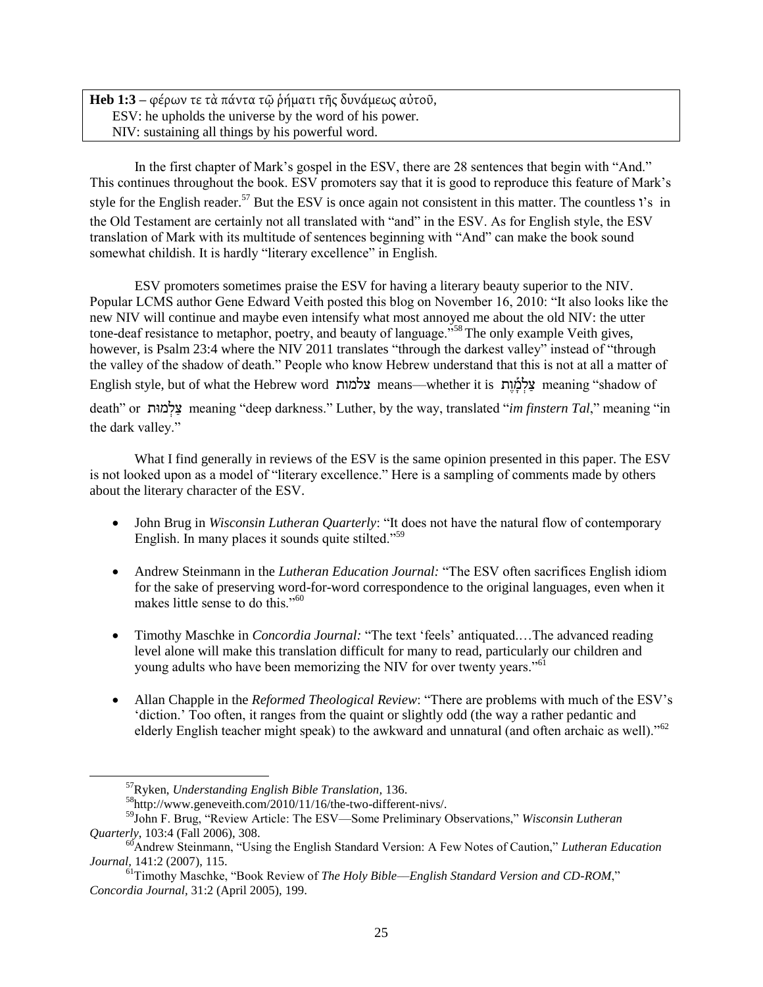**Heb 1:3** – φέρων τε τὰ πάντα τῷ ῥήματι τῆς δυνάμεως αὐτοῦ, ESV: he upholds the universe by the word of his power. NIV: sustaining all things by his powerful word.

In the first chapter of Mark's gospel in the ESV, there are 28 sentences that begin with "And." This continues throughout the book. ESV promoters say that it is good to reproduce this feature of Mark's style for the English reader.<sup>57</sup> But the ESV is once again not consistent in this matter. The countless 's in the Old Testament are certainly not all translated with "and" in the ESV. As for English style, the ESV translation of Mark with its multitude of sentences beginning with "And" can make the book sound somewhat childish. It is hardly "literary excellence" in English.

ESV promoters sometimes praise the ESV for having a literary beauty superior to the NIV. Popular LCMS author Gene Edward Veith posted this blog on November 16, 2010: "It also looks like the new NIV will continue and maybe even intensify what most annoyed me about the old NIV: the utter tone-deaf resistance to metaphor, poetry, and beauty of language.<sup>558</sup> The only example Veith gives, however, is Psalm 23:4 where the NIV 2011 translates "through the darkest valley" instead of "through the valley of the shadow of death." People who know Hebrew understand that this is not at all a matter of English style, but of what the Hebrew word צלמות means—whether it is עלמות meaning "shadow of death" or עֵלְמוּת meaning "deep darkness." Luther, by the way, translated "*im finstern Tal*," meaning "in the dark valley."

What I find generally in reviews of the ESV is the same opinion presented in this paper. The ESV is not looked upon as a model of "literary excellence." Here is a sampling of comments made by others about the literary character of the ESV.

- John Brug in *Wisconsin Lutheran Quarterly*: "It does not have the natural flow of contemporary English. In many places it sounds quite stilted."<sup>59</sup>
- Andrew Steinmann in the *Lutheran Education Journal:* "The ESV often sacrifices English idiom for the sake of preserving word-for-word correspondence to the original languages, even when it makes little sense to do this."<sup>60</sup>
- Timothy Maschke in *Concordia Journal:* "The text 'feels' antiquated....The advanced reading level alone will make this translation difficult for many to read, particularly our children and young adults who have been memorizing the NIV for over twenty years."<sup>61</sup>
- Allan Chapple in the *Reformed Theological Review*: "There are problems with much of the ESV's ‗diction.' Too often, it ranges from the quaint or slightly odd (the way a rather pedantic and elderly English teacher might speak) to the awkward and unnatural (and often archaic as well)."<sup>62</sup>

 $\overline{a}$ 

<sup>57</sup>Ryken, *Understanding English Bible Translation,* 136.

<sup>58</sup>http://www.geneveith.com/2010/11/16/the-two-different-nivs/.

<sup>59</sup>John F. Brug, "Review Article: The ESV—Some Preliminary Observations," *Wisconsin Lutheran Quarterly*, 103:4 (Fall 2006), 308.

<sup>&</sup>lt;sup>60</sup>Andrew Steinmann, "Using the English Standard Version: A Few Notes of Caution," *Lutheran Education Journal,* 141:2 (2007), 115.

<sup>&</sup>lt;sup>61</sup>Timothy Maschke, "Book Review of *The Holy Bible—English Standard Version and CD-ROM*," *Concordia Journal,* 31:2 (April 2005), 199.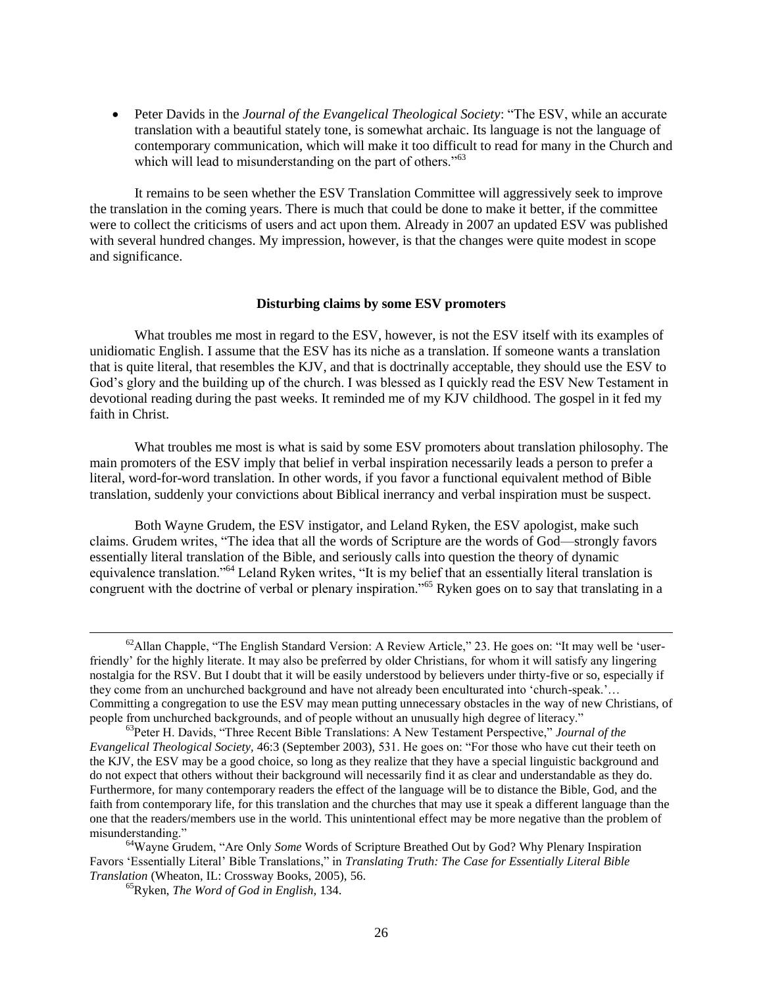Peter Davids in the *Journal of the Evangelical Theological Society*: "The ESV, while an accurate translation with a beautiful stately tone, is somewhat archaic. Its language is not the language of contemporary communication, which will make it too difficult to read for many in the Church and which will lead to misunderstanding on the part of others."<sup>63</sup>

It remains to be seen whether the ESV Translation Committee will aggressively seek to improve the translation in the coming years. There is much that could be done to make it better, if the committee were to collect the criticisms of users and act upon them. Already in 2007 an updated ESV was published with several hundred changes. My impression, however, is that the changes were quite modest in scope and significance.

### **Disturbing claims by some ESV promoters**

What troubles me most in regard to the ESV, however, is not the ESV itself with its examples of unidiomatic English. I assume that the ESV has its niche as a translation. If someone wants a translation that is quite literal, that resembles the KJV, and that is doctrinally acceptable, they should use the ESV to God's glory and the building up of the church. I was blessed as I quickly read the ESV New Testament in devotional reading during the past weeks. It reminded me of my KJV childhood. The gospel in it fed my faith in Christ.

What troubles me most is what is said by some ESV promoters about translation philosophy. The main promoters of the ESV imply that belief in verbal inspiration necessarily leads a person to prefer a literal, word-for-word translation. In other words, if you favor a functional equivalent method of Bible translation, suddenly your convictions about Biblical inerrancy and verbal inspiration must be suspect.

Both Wayne Grudem, the ESV instigator, and Leland Ryken, the ESV apologist, make such claims. Grudem writes, "The idea that all the words of Scripture are the words of God—strongly favors essentially literal translation of the Bible, and seriously calls into question the theory of dynamic equivalence translation."<sup>64</sup> Leland Ryken writes, "It is my belief that an essentially literal translation is congruent with the doctrine of verbal or plenary inspiration.<sup>565</sup> Ryken goes on to say that translating in a

 $\overline{a}$ 

<sup>&</sup>lt;sup>62</sup>Allan Chapple, "The English Standard Version: A Review Article," 23. He goes on: "It may well be 'userfriendly' for the highly literate. It may also be preferred by older Christians, for whom it will satisfy any lingering nostalgia for the RSV. But I doubt that it will be easily understood by believers under thirty-five or so, especially if they come from an unchurched background and have not already been enculturated into 'church-speak.'... Committing a congregation to use the ESV may mean putting unnecessary obstacles in the way of new Christians, of people from unchurched backgrounds, and of people without an unusually high degree of literacy."

<sup>63</sup>Peter H. Davids, "Three Recent Bible Translations: A New Testament Perspective," Journal of the *Evangelical Theological Society,* 46:3 (September 2003), 531. He goes on: "For those who have cut their teeth on the KJV, the ESV may be a good choice, so long as they realize that they have a special linguistic background and do not expect that others without their background will necessarily find it as clear and understandable as they do. Furthermore, for many contemporary readers the effect of the language will be to distance the Bible, God, and the faith from contemporary life, for this translation and the churches that may use it speak a different language than the one that the readers/members use in the world. This unintentional effect may be more negative than the problem of misunderstanding."

<sup>&</sup>lt;sup>64</sup>Wayne Grudem, "Are Only *Some* Words of Scripture Breathed Out by God? Why Plenary Inspiration Favors 'Essentially Literal' Bible Translations," in *Translating Truth: The Case for Essentially Literal Bible Translation* (Wheaton, IL: Crossway Books, 2005), 56.

<sup>65</sup>Ryken, *The Word of God in English,* 134.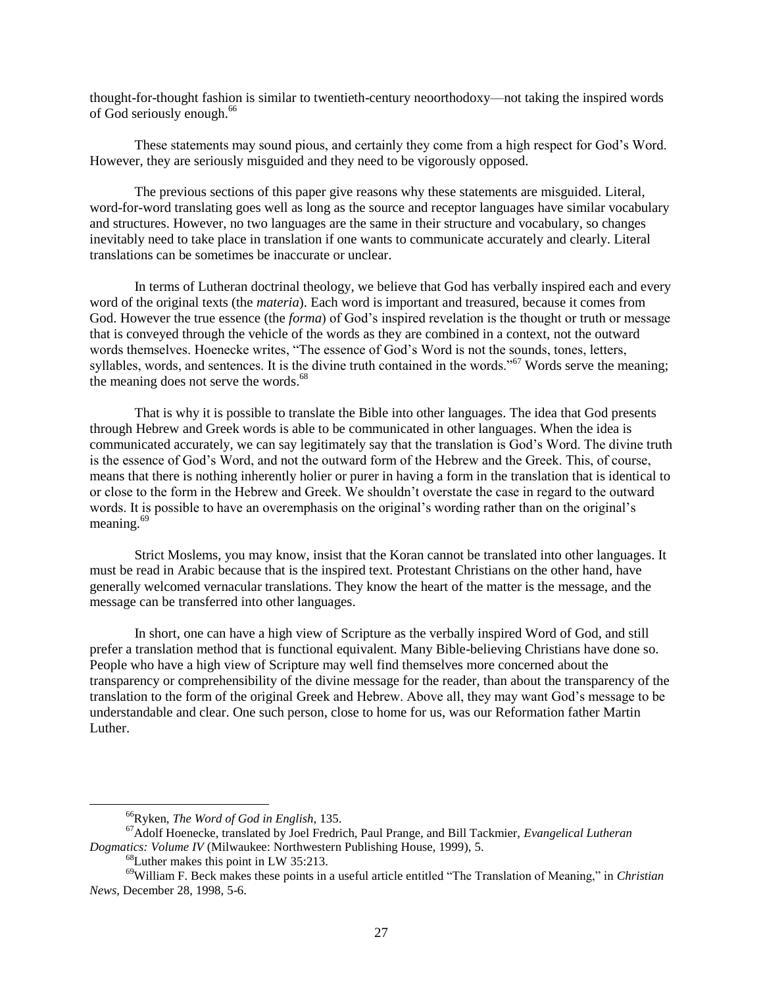thought-for-thought fashion is similar to twentieth-century neoorthodoxy––not taking the inspired words of God seriously enough.<sup>66</sup>

These statements may sound pious, and certainly they come from a high respect for God's Word. However, they are seriously misguided and they need to be vigorously opposed.

The previous sections of this paper give reasons why these statements are misguided. Literal, word-for-word translating goes well as long as the source and receptor languages have similar vocabulary and structures. However, no two languages are the same in their structure and vocabulary, so changes inevitably need to take place in translation if one wants to communicate accurately and clearly. Literal translations can be sometimes be inaccurate or unclear.

In terms of Lutheran doctrinal theology, we believe that God has verbally inspired each and every word of the original texts (the *materia*). Each word is important and treasured, because it comes from God. However the true essence (the *forma*) of God's inspired revelation is the thought or truth or message that is conveyed through the vehicle of the words as they are combined in a context, not the outward words themselves. Hoenecke writes, "The essence of God's Word is not the sounds, tones, letters, syllables, words, and sentences. It is the divine truth contained in the words."<sup>67</sup> Words serve the meaning; the meaning does not serve the words.<sup>68</sup>

That is why it is possible to translate the Bible into other languages. The idea that God presents through Hebrew and Greek words is able to be communicated in other languages. When the idea is communicated accurately, we can say legitimately say that the translation is God's Word. The divine truth is the essence of God's Word, and not the outward form of the Hebrew and the Greek. This, of course, means that there is nothing inherently holier or purer in having a form in the translation that is identical to or close to the form in the Hebrew and Greek. We shouldn't overstate the case in regard to the outward words. It is possible to have an overemphasis on the original's wording rather than on the original's meaning.<sup>69</sup>

Strict Moslems, you may know, insist that the Koran cannot be translated into other languages. It must be read in Arabic because that is the inspired text. Protestant Christians on the other hand, have generally welcomed vernacular translations. They know the heart of the matter is the message, and the message can be transferred into other languages.

In short, one can have a high view of Scripture as the verbally inspired Word of God, and still prefer a translation method that is functional equivalent. Many Bible-believing Christians have done so. People who have a high view of Scripture may well find themselves more concerned about the transparency or comprehensibility of the divine message for the reader, than about the transparency of the translation to the form of the original Greek and Hebrew. Above all, they may want God's message to be understandable and clear. One such person, close to home for us, was our Reformation father Martin Luther.

l

<sup>66</sup>Ryken, *The Word of God in English,* 135.

<sup>67</sup>Adolf Hoenecke, translated by Joel Fredrich, Paul Prange, and Bill Tackmier, *Evangelical Lutheran Dogmatics: Volume IV* (Milwaukee: Northwestern Publishing House, 1999), 5.

<sup>68</sup>Luther makes this point in LW 35:213.

<sup>&</sup>lt;sup>69</sup>William F. Beck makes these points in a useful article entitled "The Translation of Meaning," in *Christian News,* December 28, 1998, 5-6.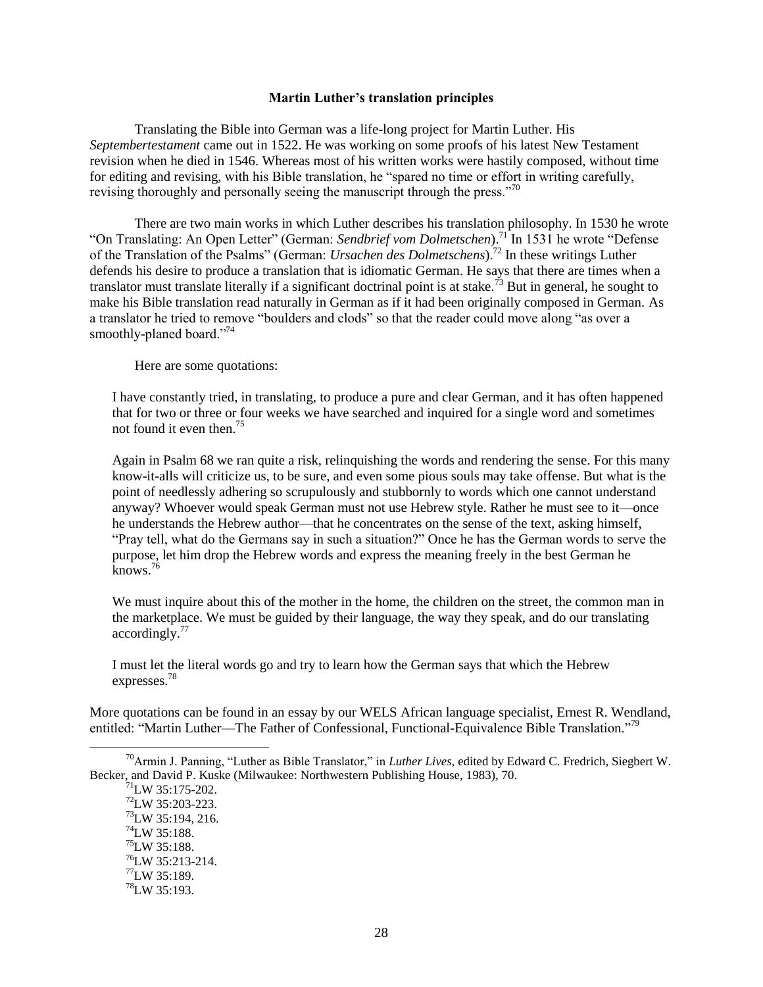#### **Martin Luther's translation principles**

Translating the Bible into German was a life-long project for Martin Luther. His *Septembertestament* came out in 1522. He was working on some proofs of his latest New Testament revision when he died in 1546. Whereas most of his written works were hastily composed, without time for editing and revising, with his Bible translation, he "spared no time or effort in writing carefully, revising thoroughly and personally seeing the manuscript through the press."<sup>70</sup>

There are two main works in which Luther describes his translation philosophy. In 1530 he wrote "On Translating: An Open Letter" (German: *Sendbrief vom Dolmetschen*).<sup>71</sup> In 1531 he wrote "Defense of the Translation of the Psalms" (German: *Ursachen des Dolmetschens*).<sup>72</sup> In these writings Luther defends his desire to produce a translation that is idiomatic German. He says that there are times when a translator must translate literally if a significant doctrinal point is at stake.<sup>73</sup> But in general, he sought to make his Bible translation read naturally in German as if it had been originally composed in German. As a translator he tried to remove "boulders and clods" so that the reader could move along "as over a smoothly-planed board."<sup>74</sup>

Here are some quotations:

I have constantly tried, in translating, to produce a pure and clear German, and it has often happened that for two or three or four weeks we have searched and inquired for a single word and sometimes not found it even then.<sup>75</sup>

Again in Psalm 68 we ran quite a risk, relinquishing the words and rendering the sense. For this many know-it-alls will criticize us, to be sure, and even some pious souls may take offense. But what is the point of needlessly adhering so scrupulously and stubbornly to words which one cannot understand anyway? Whoever would speak German must not use Hebrew style. Rather he must see to it––once he understands the Hebrew author––that he concentrates on the sense of the text, asking himself, "Pray tell, what do the Germans say in such a situation?" Once he has the German words to serve the purpose, let him drop the Hebrew words and express the meaning freely in the best German he  $k$ nows.<sup>76</sup>

We must inquire about this of the mother in the home, the children on the street, the common man in the marketplace. We must be guided by their language, the way they speak, and do our translating  $accordinglv.<sup>77</sup>$ 

I must let the literal words go and try to learn how the German says that which the Hebrew expresses.<sup>78</sup>

More quotations can be found in an essay by our WELS African language specialist, Ernest R. Wendland, entitled: "Martin Luther—The Father of Confessional, Functional-Equivalence Bible Translation."<sup>79</sup>

<sup>&</sup>lt;sup>70</sup>Armin J. Panning, "Luther as Bible Translator," in *Luther Lives*, edited by Edward C. Fredrich, Siegbert W. Becker, and David P. Kuske (Milwaukee: Northwestern Publishing House, 1983), 70.

 $71$ <sub>LW</sub> 35:175-202.

<sup>72</sup>LW 35:203-223. <sup>73</sup>LW 35:194, 216.  $^{74}$ LW 35:188.  $^{75}$ LW 35:188.  $^{76}$ LW 35:213-214.  $^{77}$ LW 35:189.  $^{78}$ LW 35:193.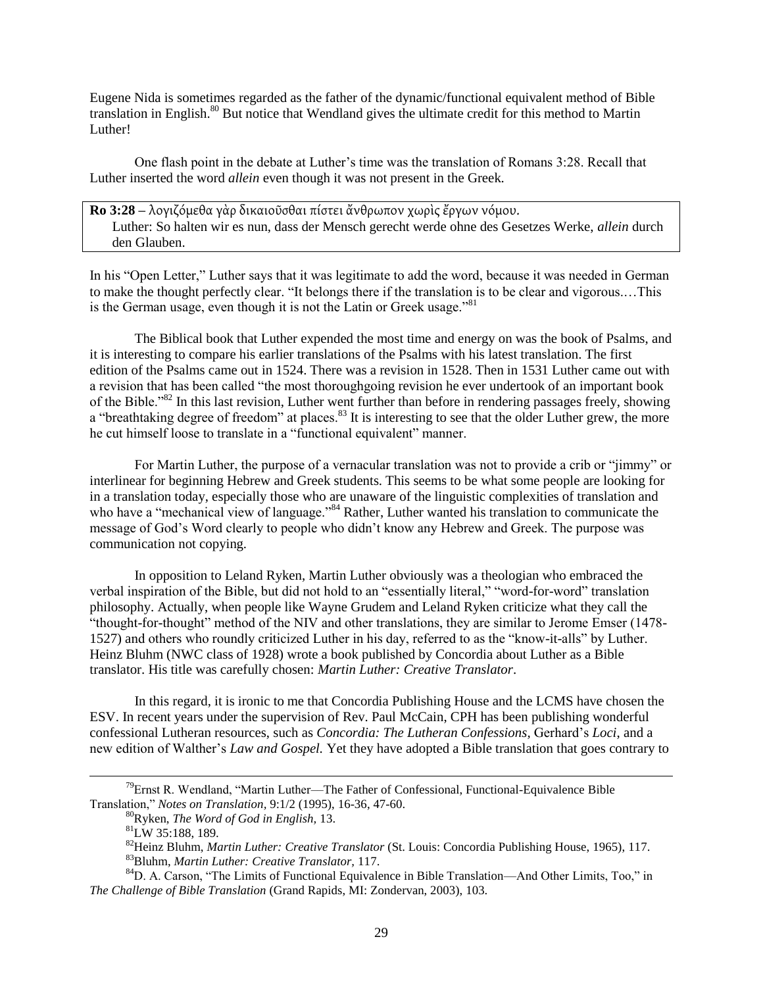Eugene Nida is sometimes regarded as the father of the dynamic/functional equivalent method of Bible translation in English.<sup>80</sup> But notice that Wendland gives the ultimate credit for this method to Martin Luther!

One flash point in the debate at Luther's time was the translation of Romans 3:28. Recall that Luther inserted the word *allein* even though it was not present in the Greek.

**Ro 3:28** – λογιζόμεθα γὰρ δικαιοῦσθαι πίστει ἄνθρωπον χωρὶς ἔργων νόμου. Luther: So halten wir es nun, dass der Mensch gerecht werde ohne des Gesetzes Werke, *allein* durch den Glauben.

In his "Open Letter," Luther says that it was legitimate to add the word, because it was needed in German to make the thought perfectly clear. "It belongs there if the translation is to be clear and vigorous....This is the German usage, even though it is not the Latin or Greek usage.<sup>881</sup>

The Biblical book that Luther expended the most time and energy on was the book of Psalms, and it is interesting to compare his earlier translations of the Psalms with his latest translation. The first edition of the Psalms came out in 1524. There was a revision in 1528. Then in 1531 Luther came out with a revision that has been called "the most thoroughgoing revision he ever undertook of an important book of the Bible.<sup>82</sup> In this last revision, Luther went further than before in rendering passages freely, showing a "breathtaking degree of freedom" at places.<sup>83</sup> It is interesting to see that the older Luther grew, the more he cut himself loose to translate in a "functional equivalent" manner.

For Martin Luther, the purpose of a vernacular translation was not to provide a crib or "jimmy" or interlinear for beginning Hebrew and Greek students. This seems to be what some people are looking for in a translation today, especially those who are unaware of the linguistic complexities of translation and who have a "mechanical view of language."<sup>84</sup> Rather, Luther wanted his translation to communicate the message of God's Word clearly to people who didn't know any Hebrew and Greek. The purpose was communication not copying.

In opposition to Leland Ryken, Martin Luther obviously was a theologian who embraced the verbal inspiration of the Bible, but did not hold to an "essentially literal," "word-for-word" translation philosophy. Actually, when people like Wayne Grudem and Leland Ryken criticize what they call the ―thought-for-thought‖ method of the NIV and other translations, they are similar to Jerome Emser (1478- 1527) and others who roundly criticized Luther in his day, referred to as the "know-it-alls" by Luther. Heinz Bluhm (NWC class of 1928) wrote a book published by Concordia about Luther as a Bible translator. His title was carefully chosen: *Martin Luther: Creative Translator*.

In this regard, it is ironic to me that Concordia Publishing House and the LCMS have chosen the ESV. In recent years under the supervision of Rev. Paul McCain, CPH has been publishing wonderful confessional Lutheran resources, such as *Concordia: The Lutheran Confessions,* Gerhard's *Loci*, and a new edition of Walther's *Law and Gospel.* Yet they have adopted a Bible translation that goes contrary to

 $\overline{a}$ 

 $79$ Ernst R. Wendland, "Martin Luther—The Father of Confessional, Functional-Equivalence Bible Translation,‖ *Notes on Translation,* 9:1/2 (1995), 16-36, 47-60.

<sup>80</sup>Ryken, *The Word of God in English,* 13.

<sup>81</sup>LW 35:188, 189.

<sup>82</sup>Heinz Bluhm, *Martin Luther: Creative Translator* (St. Louis: Concordia Publishing House, 1965), 117. <sup>83</sup>Bluhm, *Martin Luther: Creative Translator,* 117.

<sup>&</sup>lt;sup>84</sup>D. A. Carson, "The Limits of Functional Equivalence in Bible Translation—And Other Limits, Too," in *The Challenge of Bible Translation* (Grand Rapids, MI: Zondervan, 2003), 103.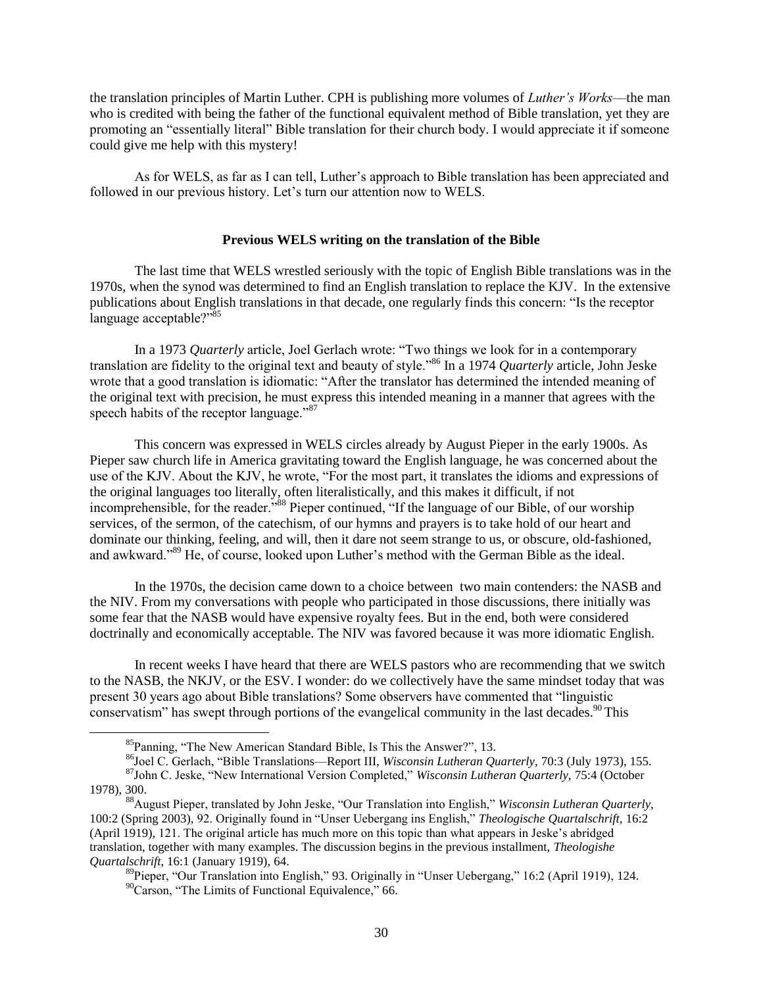the translation principles of Martin Luther. CPH is publishing more volumes of *Luther's Works*––the man who is credited with being the father of the functional equivalent method of Bible translation, yet they are promoting an "essentially literal" Bible translation for their church body. I would appreciate it if someone could give me help with this mystery!

As for WELS, as far as I can tell, Luther's approach to Bible translation has been appreciated and followed in our previous history. Let's turn our attention now to WELS.

### **Previous WELS writing on the translation of the Bible**

The last time that WELS wrestled seriously with the topic of English Bible translations was in the 1970s, when the synod was determined to find an English translation to replace the KJV. In the extensive publications about English translations in that decade, one regularly finds this concern: "Is the receptor language acceptable?" $85$ 

In a 1973 *Quarterly* article, Joel Gerlach wrote: "Two things we look for in a contemporary translation are fidelity to the original text and beauty of style.<sup>86</sup> In a 1974 *Quarterly* article, John Jeske wrote that a good translation is idiomatic: "After the translator has determined the intended meaning of the original text with precision, he must express this intended meaning in a manner that agrees with the speech habits of the receptor language."<sup>87</sup>

This concern was expressed in WELS circles already by August Pieper in the early 1900s. As Pieper saw church life in America gravitating toward the English language, he was concerned about the use of the KJV. About the KJV, he wrote, "For the most part, it translates the idioms and expressions of the original languages too literally, often literalistically, and this makes it difficult, if not incomprehensible, for the reader.<sup>588</sup> Pieper continued, "If the language of our Bible, of our worship services, of the sermon, of the catechism, of our hymns and prayers is to take hold of our heart and dominate our thinking, feeling, and will, then it dare not seem strange to us, or obscure, old-fashioned, and awkward."<sup>89</sup> He, of course, looked upon Luther's method with the German Bible as the ideal.

In the 1970s, the decision came down to a choice between two main contenders: the NASB and the NIV. From my conversations with people who participated in those discussions, there initially was some fear that the NASB would have expensive royalty fees. But in the end, both were considered doctrinally and economically acceptable. The NIV was favored because it was more idiomatic English.

In recent weeks I have heard that there are WELS pastors who are recommending that we switch to the NASB, the NKJV, or the ESV. I wonder: do we collectively have the same mindset today that was present 30 years ago about Bible translations? Some observers have commented that "linguistic" conservatism" has swept through portions of the evangelical community in the last decades.<sup>90</sup> This

 ${}^{85}$ Panning, "The New American Standard Bible, Is This the Answer?", 13.

<sup>&</sup>lt;sup>86</sup>Joel C. Gerlach, "Bible Translations—Report III, *Wisconsin Lutheran Quarterly*, 70:3 (July 1973), 155.

<sup>&</sup>lt;sup>87</sup>John C. Jeske, "New International Version Completed," *Wisconsin Lutheran Quarterly, 75:4* (October 1978), 300.

<sup>&</sup>lt;sup>88</sup>August Pieper, translated by John Jeske, "Our Translation into English," *Wisconsin Lutheran Quarterly,* 100:2 (Spring 2003), 92. Originally found in "Unser Uebergang ins English," *Theologische Quartalschrift*, 16:2 (April 1919), 121. The original article has much more on this topic than what appears in Jeske's abridged translation, together with many examples. The discussion begins in the previous installment, *Theologishe Quartalschrift*, 16:1 (January 1919), 64.

<sup>&</sup>lt;sup>89</sup>Pieper, "Our Translation into English," 93. Originally in "Unser Uebergang," 16:2 (April 1919), 124.  $\rm^{90}C$ arson, "The Limits of Functional Equivalence," 66.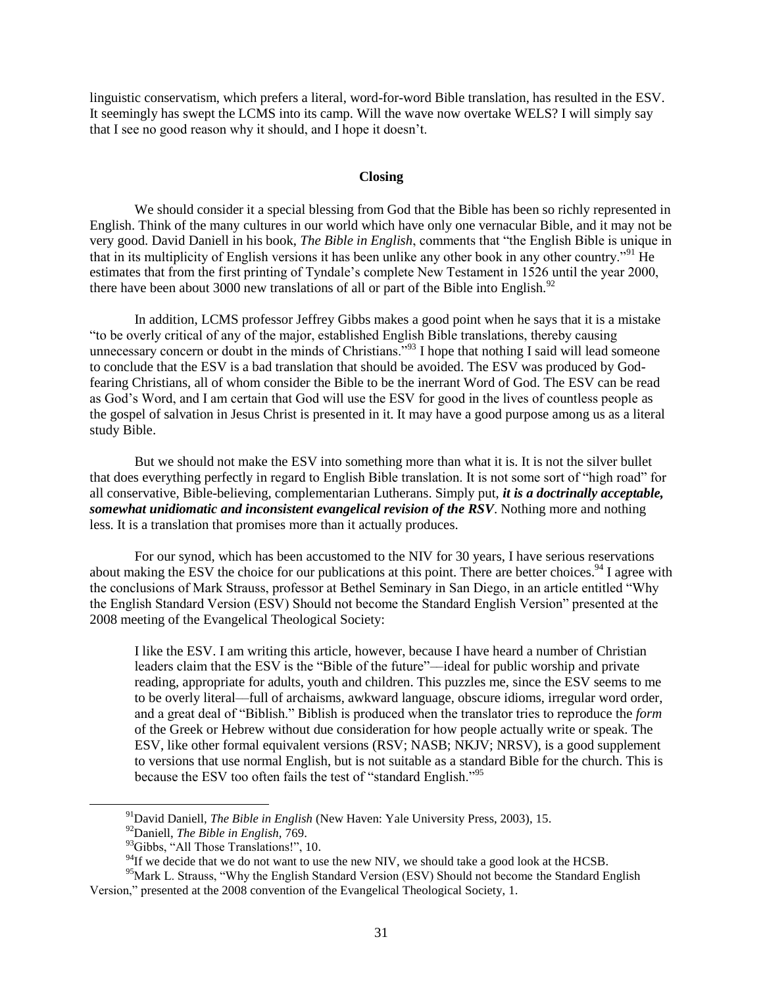linguistic conservatism, which prefers a literal, word-for-word Bible translation, has resulted in the ESV. It seemingly has swept the LCMS into its camp. Will the wave now overtake WELS? I will simply say that I see no good reason why it should, and I hope it doesn't.

#### **Closing**

We should consider it a special blessing from God that the Bible has been so richly represented in English. Think of the many cultures in our world which have only one vernacular Bible, and it may not be very good. David Daniell in his book, *The Bible in English*, comments that "the English Bible is unique in that in its multiplicity of English versions it has been unlike any other book in any other country.<sup>91</sup> He estimates that from the first printing of Tyndale's complete New Testament in 1526 until the year 2000, there have been about 3000 new translations of all or part of the Bible into English.<sup>92</sup>

In addition, LCMS professor Jeffrey Gibbs makes a good point when he says that it is a mistake ―to be overly critical of any of the major, established English Bible translations, thereby causing unnecessary concern or doubt in the minds of Christians.<sup>93</sup> I hope that nothing I said will lead someone to conclude that the ESV is a bad translation that should be avoided. The ESV was produced by Godfearing Christians, all of whom consider the Bible to be the inerrant Word of God. The ESV can be read as God's Word, and I am certain that God will use the ESV for good in the lives of countless people as the gospel of salvation in Jesus Christ is presented in it. It may have a good purpose among us as a literal study Bible.

But we should not make the ESV into something more than what it is. It is not the silver bullet that does everything perfectly in regard to English Bible translation. It is not some sort of "high road" for all conservative, Bible-believing, complementarian Lutherans. Simply put, *it is a doctrinally acceptable, somewhat unidiomatic and inconsistent evangelical revision of the RSV*. Nothing more and nothing less. It is a translation that promises more than it actually produces.

For our synod, which has been accustomed to the NIV for 30 years, I have serious reservations about making the ESV the choice for our publications at this point. There are better choices.<sup>94</sup> I agree with the conclusions of Mark Strauss, professor at Bethel Seminary in San Diego, in an article entitled "Why the English Standard Version (ESV) Should not become the Standard English Version" presented at the 2008 meeting of the Evangelical Theological Society:

I like the ESV. I am writing this article, however, because I have heard a number of Christian leaders claim that the ESV is the "Bible of the future"—ideal for public worship and private reading, appropriate for adults, youth and children. This puzzles me, since the ESV seems to me to be overly literal––full of archaisms, awkward language, obscure idioms, irregular word order, and a great deal of "Biblish." Biblish is produced when the translator tries to reproduce the *form* of the Greek or Hebrew without due consideration for how people actually write or speak. The ESV, like other formal equivalent versions (RSV; NASB; NKJV; NRSV), is a good supplement to versions that use normal English, but is not suitable as a standard Bible for the church. This is because the ESV too often fails the test of "standard English."<sup>95</sup>

l

<sup>91</sup>David Daniell, *The Bible in English* (New Haven: Yale University Press, 2003), 15.

<sup>92</sup>Daniell, *The Bible in English,* 769.

 $93$ Gibbs, "All Those Translations!", 10.

 $94$ If we decide that we do not want to use the new NIV, we should take a good look at the HCSB.

<sup>&</sup>lt;sup>95</sup>Mark L. Strauss, "Why the English Standard Version (ESV) Should not become the Standard English Version," presented at the 2008 convention of the Evangelical Theological Society, 1.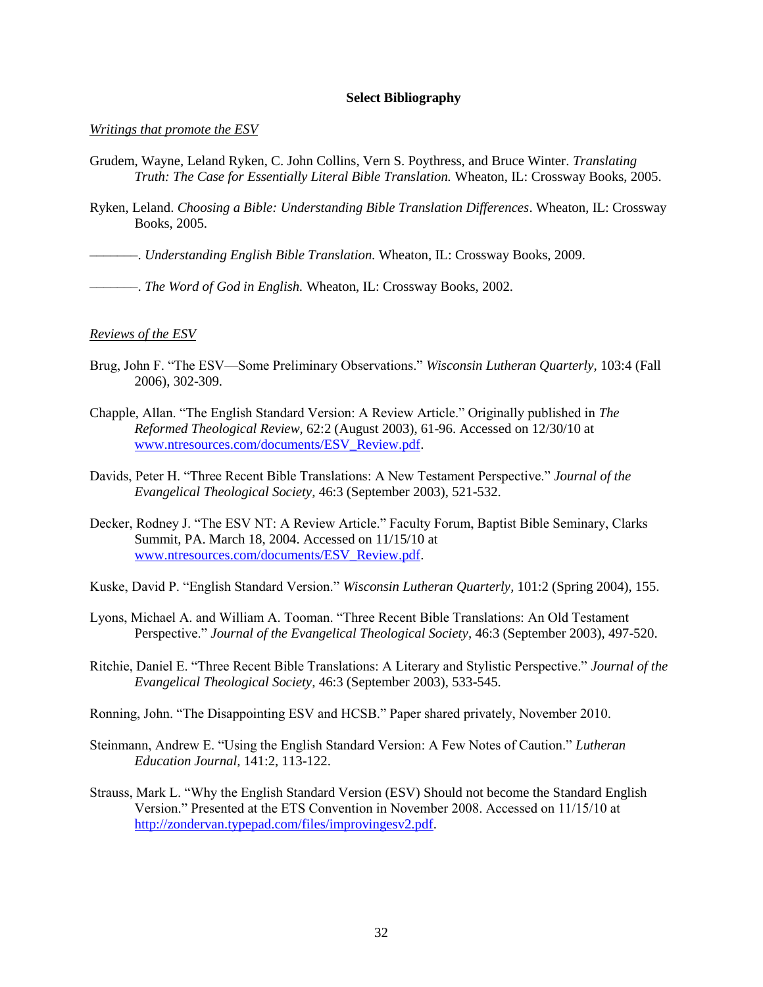### **Select Bibliography**

#### *Writings that promote the ESV*

- Grudem, Wayne, Leland Ryken, C. John Collins, Vern S. Poythress, and Bruce Winter. *Translating Truth: The Case for Essentially Literal Bible Translation.* Wheaton, IL: Crossway Books, 2005.
- Ryken, Leland. *Choosing a Bible: Understanding Bible Translation Differences*. Wheaton, IL: Crossway Books, 2005.

–––––––. *Understanding English Bible Translation.* Wheaton, IL: Crossway Books, 2009.

–––––––. *The Word of God in English.* Wheaton, IL: Crossway Books, 2002.

#### *Reviews of the ESV*

- Brug, John F. "The ESV—Some Preliminary Observations." *Wisconsin Lutheran Quarterly*, 103:4 (Fall 2006), 302-309.
- Chapple, Allan. "The English Standard Version: A Review Article." Originally published in *The Reformed Theological Review,* 62:2 (August 2003), 61-96. Accessed on 12/30/10 at www.ntresources.com/documents/ESV\_Review.pdf.
- Davids, Peter H. "Three Recent Bible Translations: A New Testament Perspective." *Journal of the Evangelical Theological Society,* 46:3 (September 2003), 521-532.
- Decker, Rodney J. "The ESV NT: A Review Article." Faculty Forum, Baptist Bible Seminary, Clarks Summit, PA. March 18, 2004. Accessed on 11/15/10 at www.ntresources.com/documents/ESV\_Review.pdf.
- Kuske, David P. "English Standard Version." *Wisconsin Lutheran Quarterly*, 101:2 (Spring 2004), 155.
- Lyons, Michael A. and William A. Tooman. "Three Recent Bible Translations: An Old Testament Perspective.‖ *Journal of the Evangelical Theological Society,* 46:3 (September 2003), 497-520.
- Ritchie, Daniel E. "Three Recent Bible Translations: A Literary and Stylistic Perspective." *Journal of the Evangelical Theological Society,* 46:3 (September 2003), 533-545.
- Ronning, John. "The Disappointing ESV and HCSB." Paper shared privately, November 2010.
- Steinmann, Andrew E. "Using the English Standard Version: A Few Notes of Caution." *Lutheran Education Journal,* 141:2, 113-122.
- Strauss, Mark L. "Why the English Standard Version (ESV) Should not become the Standard English Version." Presented at the ETS Convention in November 2008. Accessed on 11/15/10 at http://zondervan.typepad.com/files/improvingesv2.pdf.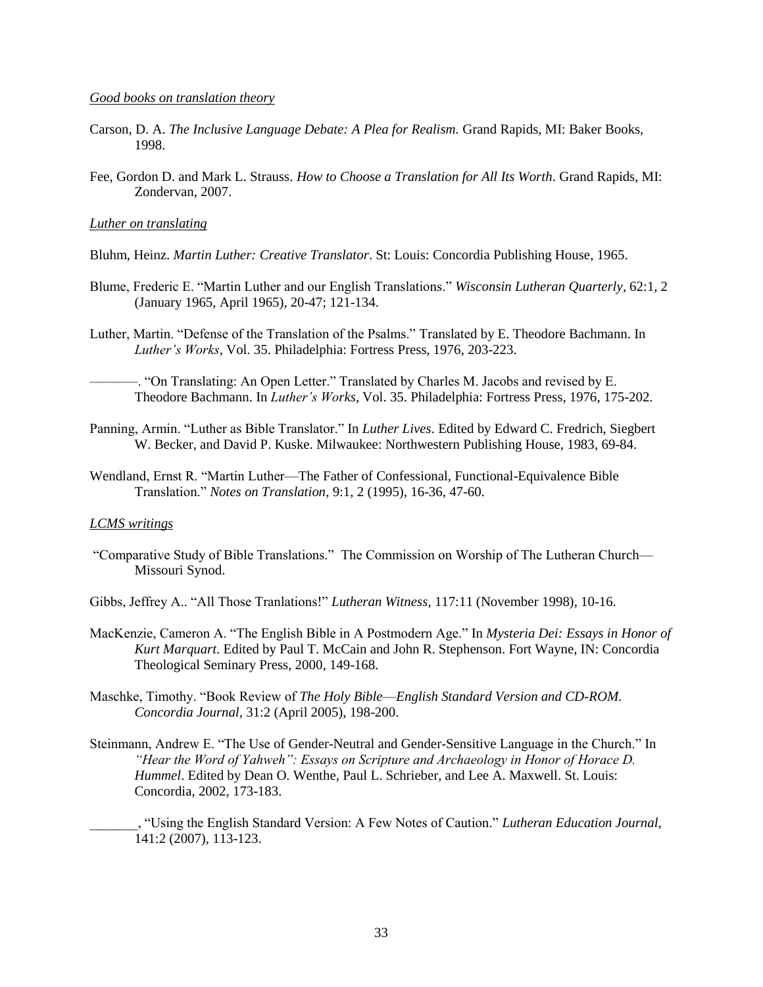#### *Good books on translation theory*

- Carson, D. A. *The Inclusive Language Debate: A Plea for Realism.* Grand Rapids, MI: Baker Books, 1998.
- Fee, Gordon D. and Mark L. Strauss. *How to Choose a Translation for All Its Worth*. Grand Rapids, MI: Zondervan, 2007.

#### *Luther on translating*

- Bluhm, Heinz. *Martin Luther: Creative Translator*. St: Louis: Concordia Publishing House, 1965.
- Blume, Frederic E. "Martin Luther and our English Translations." *Wisconsin Lutheran Quarterly,* 62:1, 2 (January 1965, April 1965), 20-47; 121-134.
- Luther, Martin. "Defense of the Translation of the Psalms." Translated by E. Theodore Bachmann. In *Luther's Works*, Vol. 35. Philadelphia: Fortress Press, 1976, 203-223.

–. "On Translating: An Open Letter." Translated by Charles M. Jacobs and revised by E. Theodore Bachmann. In *Luther's Works*, Vol. 35. Philadelphia: Fortress Press, 1976, 175-202.

- Panning, Armin. "Luther as Bible Translator." In *Luther Lives*. Edited by Edward C. Fredrich, Siegbert W. Becker, and David P. Kuske. Milwaukee: Northwestern Publishing House, 1983, 69-84.
- Wendland, Ernst R. "Martin Luther—The Father of Confessional, Functional-Equivalence Bible Translation.‖ *Notes on Translation,* 9:1, 2 (1995), 16-36, 47-60.

#### *LCMS writings*

―Comparative Study of Bible Translations.‖ The Commission on Worship of The Lutheran Church— Missouri Synod.

Gibbs, Jeffrey A.. "All Those Tranlations!" *Lutheran Witness*, 117:11 (November 1998), 10-16.

- MacKenzie, Cameron A. "The English Bible in A Postmodern Age." In *Mysteria Dei: Essays in Honor of Kurt Marquart*. Edited by Paul T. McCain and John R. Stephenson. Fort Wayne, IN: Concordia Theological Seminary Press, 2000, 149-168.
- Maschke, Timothy. "Book Review of *The Holy Bible—English Standard Version and CD-ROM*. *Concordia Journal,* 31:2 (April 2005), 198-200.
- Steinmann, Andrew E. "The Use of Gender-Neutral and Gender-Sensitive Language in the Church." In *"Hear the Word of Yahweh": Essays on Scripture and Archaeology in Honor of Horace D. Hummel*. Edited by Dean O. Wenthe, Paul L. Schrieber, and Lee A. Maxwell. St. Louis: Concordia, 2002, 173-183.
- \_\_\_\_\_\_\_, ―Using the English Standard Version: A Few Notes of Caution.‖ *Lutheran Education Journal,* 141:2 (2007), 113-123.